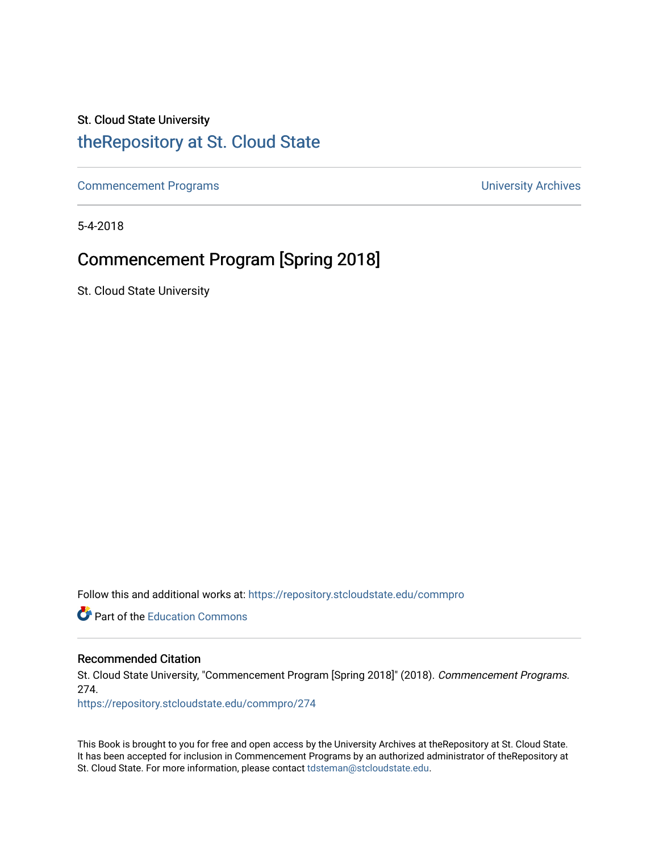# St. Cloud State University

# [theRepository at St. Cloud State](https://repository.stcloudstate.edu/)

[Commencement Programs](https://repository.stcloudstate.edu/commpro) **Commencement Programs University Archives** 

5-4-2018

# Commencement Program [Spring 2018]

St. Cloud State University

Follow this and additional works at: [https://repository.stcloudstate.edu/commpro](https://repository.stcloudstate.edu/commpro?utm_source=repository.stcloudstate.edu%2Fcommpro%2F274&utm_medium=PDF&utm_campaign=PDFCoverPages) 

**C** Part of the [Education Commons](http://network.bepress.com/hgg/discipline/784?utm_source=repository.stcloudstate.edu%2Fcommpro%2F274&utm_medium=PDF&utm_campaign=PDFCoverPages)

## Recommended Citation

St. Cloud State University, "Commencement Program [Spring 2018]" (2018). Commencement Programs. 274.

[https://repository.stcloudstate.edu/commpro/274](https://repository.stcloudstate.edu/commpro/274?utm_source=repository.stcloudstate.edu%2Fcommpro%2F274&utm_medium=PDF&utm_campaign=PDFCoverPages) 

This Book is brought to you for free and open access by the University Archives at theRepository at St. Cloud State. It has been accepted for inclusion in Commencement Programs by an authorized administrator of theRepository at St. Cloud State. For more information, please contact [tdsteman@stcloudstate.edu.](mailto:tdsteman@stcloudstate.edu)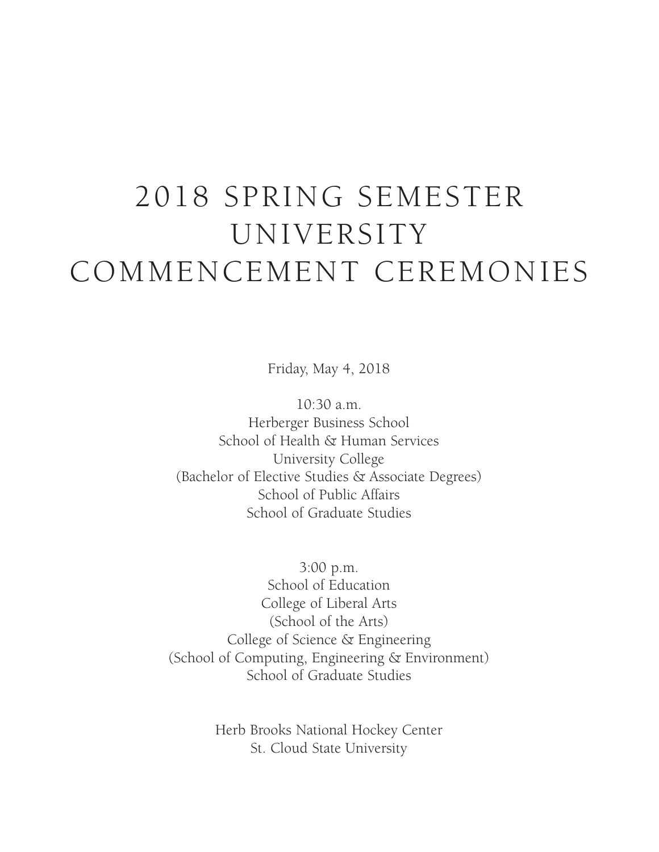# 2018 SPRING SEMESTER UNIVERSITY COMMENCEMENT CEREMONIES

Friday, May 4, 2018

10:30 a.m. Herberger Business School School of Health & Human Services University College (Bachelor of Elective Studies & Associate Degrees) School of Public Affairs School of Graduate Studies

3:00 p.m. School of Education College of Liberal Arts (School of the Arts) College of Science & Engineering (School of Computing, Engineering & Environment) School of Graduate Studies

> Herb Brooks National Hockey Center St. Cloud State University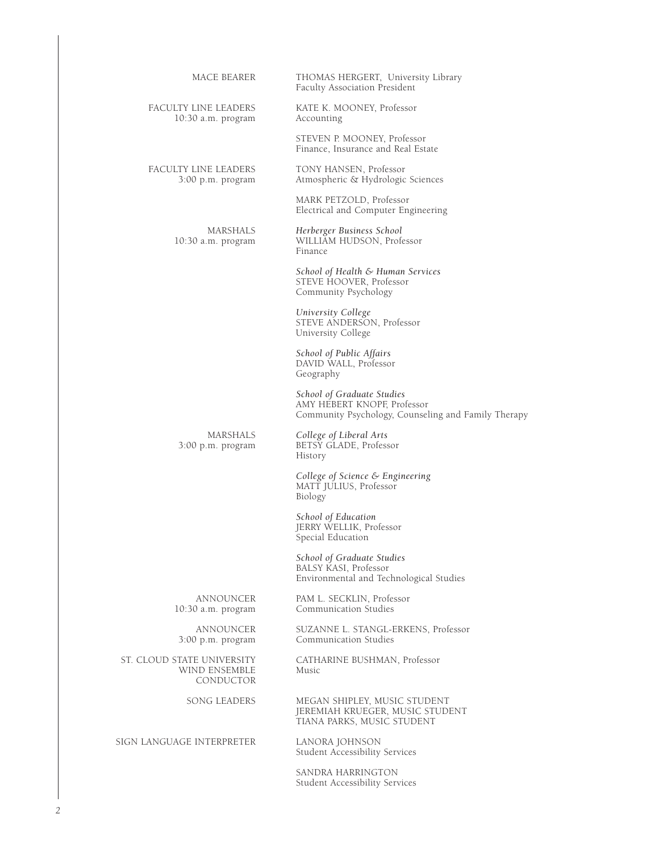| MACE BEARER                                              | THOMAS HERGERT, University Library<br>Faculty Association President                                              |
|----------------------------------------------------------|------------------------------------------------------------------------------------------------------------------|
| FACULTY LINE LEADERS<br>10:30 a.m. program               | KATE K. MOONEY, Professor<br>Accounting                                                                          |
|                                                          | STEVEN P. MOONEY, Professor<br>Finance, Insurance and Real Estate                                                |
| FACULTY LINE LEADERS<br>3:00 p.m. program                | TONY HANSEN, Professor<br>Atmospheric & Hydrologic Sciences                                                      |
|                                                          | MARK PETZOLD, Professor<br>Electrical and Computer Engineering                                                   |
| MARSHALS<br>$10:30$ a.m. program                         | Herberger Business School<br>WILLIAM HUDSON, Professor<br>Finance                                                |
|                                                          | School of Health & Human Services<br>STEVE HOOVER, Professor<br>Community Psychology                             |
|                                                          | University College<br>STEVE ANDERSON, Professor<br>University College                                            |
|                                                          | School of Public Affairs<br>DAVID WALL, Professor<br>Geography                                                   |
|                                                          | School of Graduate Studies<br>AMY HEBERT KNOPF, Professor<br>Community Psychology, Counseling and Family Therapy |
| MARSHALS<br>3:00 p.m. program                            | College of Liberal Arts<br>BETSY GLADE, Professor<br>History                                                     |
|                                                          | College of Science & Engineering<br>MATT JULIUS, Professor<br>Biology                                            |
|                                                          | School of Education<br>JERRY WELLIK, Professor<br>Special Education                                              |
|                                                          | School of Graduate Studies<br>BALSY KASI, Professor<br>Environmental and Technological Studies                   |
| ANNOUNCER<br>$10:30$ a.m. program                        | PAM L. SECKLIN, Professor<br>Communication Studies                                                               |
| ANNOUNCER<br>$3:00$ p.m. program                         | SUZANNE L. STANGL-ERKENS, Professor<br>Communication Studies                                                     |
| ST. CLOUD STATE UNIVERSITY<br>WIND ENSEMBLE<br>CONDUCTOR | CATHARINE BUSHMAN, Professor<br>Music                                                                            |
| <b>SONG LEADERS</b>                                      | MEGAN SHIPLEY, MUSIC STUDENT<br>JEREMIAH KRUEGER, MUSIC STUDENT<br>TIANA PARKS, MUSIC STUDENT                    |
| SIGN LANGUAGE INTERPRETER                                | LANORA JOHNSON<br>Student Accessibility Services                                                                 |
|                                                          |                                                                                                                  |

SANDRA HARRINGTON Student Accessibility Services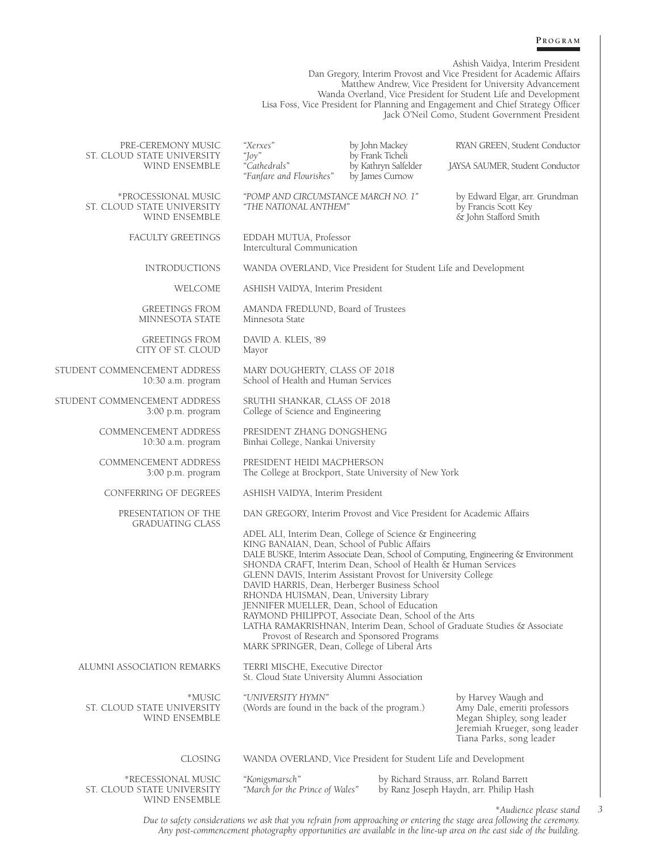#### **P r o g r a m**

Ashish Vaidya, Interim President Dan Gregory, Interim Provost and Vice President for Academic Affairs Matthew Andrew, Vice President for University Advancement Wanda Overland, Vice President for Student Life and Development Lisa Foss, Vice President for Planning and Engagement and Chief Strategy Officer Jack O'Neil Como, Student Government President

| PRE-CEREMONY MUSIC<br>ST. CLOUD STATE UNIVERSITY                   | "Xerxes"<br>"Joy"                                                                                                                                                                                                                                                                                                                                                                                                                                                                               | by John Mackey<br>by Frank Ticheli                              | RYAN GREEN, Student Conductor                                                                                                                                  |
|--------------------------------------------------------------------|-------------------------------------------------------------------------------------------------------------------------------------------------------------------------------------------------------------------------------------------------------------------------------------------------------------------------------------------------------------------------------------------------------------------------------------------------------------------------------------------------|-----------------------------------------------------------------|----------------------------------------------------------------------------------------------------------------------------------------------------------------|
| WIND ENSEMBLE                                                      | "Cathedrals"<br>"Fanfare and Flourishes"                                                                                                                                                                                                                                                                                                                                                                                                                                                        | by Kathryn Salfelder<br>by James Curnow                         | JAYSA SAUMER, Student Conductor                                                                                                                                |
| *PROCESSIONAL MUSIC<br>ST. CLOUD STATE UNIVERSITY<br>WIND ENSEMBLE | "POMP AND CIRCUMSTANCE MARCH NO. 1"<br>"THE NATIONAL ANTHEM"                                                                                                                                                                                                                                                                                                                                                                                                                                    |                                                                 | by Edward Elgar, arr. Grundman<br>by Francis Scott Key<br>& John Stafford Smith                                                                                |
| FACULTY GREETINGS                                                  | EDDAH MUTUA, Professor<br>Intercultural Communication                                                                                                                                                                                                                                                                                                                                                                                                                                           |                                                                 |                                                                                                                                                                |
| <b>INTRODUCTIONS</b>                                               | WANDA OVERLAND, Vice President for Student Life and Development                                                                                                                                                                                                                                                                                                                                                                                                                                 |                                                                 |                                                                                                                                                                |
| WELCOME                                                            | ASHISH VAIDYA, Interim President                                                                                                                                                                                                                                                                                                                                                                                                                                                                |                                                                 |                                                                                                                                                                |
| <b>GREETINGS FROM</b><br>MINNESOTA STATE                           | AMANDA FREDLUND, Board of Trustees<br>Minnesota State                                                                                                                                                                                                                                                                                                                                                                                                                                           |                                                                 |                                                                                                                                                                |
| <b>GREETINGS FROM</b><br>CITY OF ST. CLOUD                         | DAVID A. KLEIS, '89<br>Mayor                                                                                                                                                                                                                                                                                                                                                                                                                                                                    |                                                                 |                                                                                                                                                                |
| STUDENT COMMENCEMENT ADDRESS<br>10:30 a.m. program                 | MARY DOUGHERTY, CLASS OF 2018<br>School of Health and Human Services                                                                                                                                                                                                                                                                                                                                                                                                                            |                                                                 |                                                                                                                                                                |
| STUDENT COMMENCEMENT ADDRESS<br>$3:00$ p.m. program                | SRUTHI SHANKAR, CLASS OF 2018<br>College of Science and Engineering                                                                                                                                                                                                                                                                                                                                                                                                                             |                                                                 |                                                                                                                                                                |
| <b>COMMENCEMENT ADDRESS</b><br>10:30 a.m. program                  | PRESIDENT ZHANG DONGSHENG<br>Binhai College, Nankai University                                                                                                                                                                                                                                                                                                                                                                                                                                  |                                                                 |                                                                                                                                                                |
| COMMENCEMENT ADDRESS<br>3:00 p.m. program                          | PRESIDENT HEIDI MACPHERSON<br>The College at Brockport, State University of New York                                                                                                                                                                                                                                                                                                                                                                                                            |                                                                 |                                                                                                                                                                |
| CONFERRING OF DEGREES                                              | ASHISH VAIDYA, Interim President                                                                                                                                                                                                                                                                                                                                                                                                                                                                |                                                                 |                                                                                                                                                                |
| PRESENTATION OF THE<br><b>GRADUATING CLASS</b>                     | DAN GREGORY, Interim Provost and Vice President for Academic Affairs                                                                                                                                                                                                                                                                                                                                                                                                                            |                                                                 |                                                                                                                                                                |
|                                                                    | ADEL ALI, Interim Dean, College of Science & Engineering<br>KING BANAIAN, Dean, School of Public Affairs<br>SHONDA CRAFT, Interim Dean, School of Health & Human Services<br>GLENN DAVIS, Interim Assistant Provost for University College<br>DAVID HARRIS, Dean, Herberger Business School<br>RHONDA HUISMAN, Dean, University Library<br>JENNIFER MUELLER, Dean, School of Education<br>RAYMOND PHILIPPOT, Associate Dean, School of the Arts<br>MARK SPRINGER, Dean, College of Liberal Arts | Provost of Research and Sponsored Programs                      | DALE BUSKE, Interim Associate Dean, School of Computing, Engineering & Environment<br>LATHA RAMAKRISHNAN, Interim Dean, School of Graduate Studies & Associate |
| ALUMNI ASSOCIATION REMARKS                                         | TERRI MISCHE, Executive Director<br>St. Cloud State University Alumni Association                                                                                                                                                                                                                                                                                                                                                                                                               |                                                                 |                                                                                                                                                                |
| *MUSIC<br>ST. CLOUD STATE UNIVERSITY<br>WIND ENSEMBLE              | "UNIVERSITY HYMN"<br>(Words are found in the back of the program.)                                                                                                                                                                                                                                                                                                                                                                                                                              |                                                                 | by Harvey Waugh and<br>Amy Dale, emeriti professors<br>Megan Shipley, song leader<br>Jeremiah Krueger, song leader<br>Tiana Parks, song leader                 |
| CLOSING                                                            |                                                                                                                                                                                                                                                                                                                                                                                                                                                                                                 | WANDA OVERLAND, Vice President for Student Life and Development |                                                                                                                                                                |
| *RECESSIONAL MUSIC<br>ST. CLOUD STATE UNIVERSITY<br>WIND ENSEMBLE  | "Konigsmarsch"<br>"March for the Prince of Wales"                                                                                                                                                                                                                                                                                                                                                                                                                                               |                                                                 | by Richard Strauss, arr. Roland Barrett<br>by Ranz Joseph Haydn, arr. Philip Hash                                                                              |

\**Audience please stand Due to safety considerations we ask that you refrain from approaching or entering the stage area following the ceremony. Any post-commencement photography opportunities are available in the line-up area on the east side of the building.*

*3*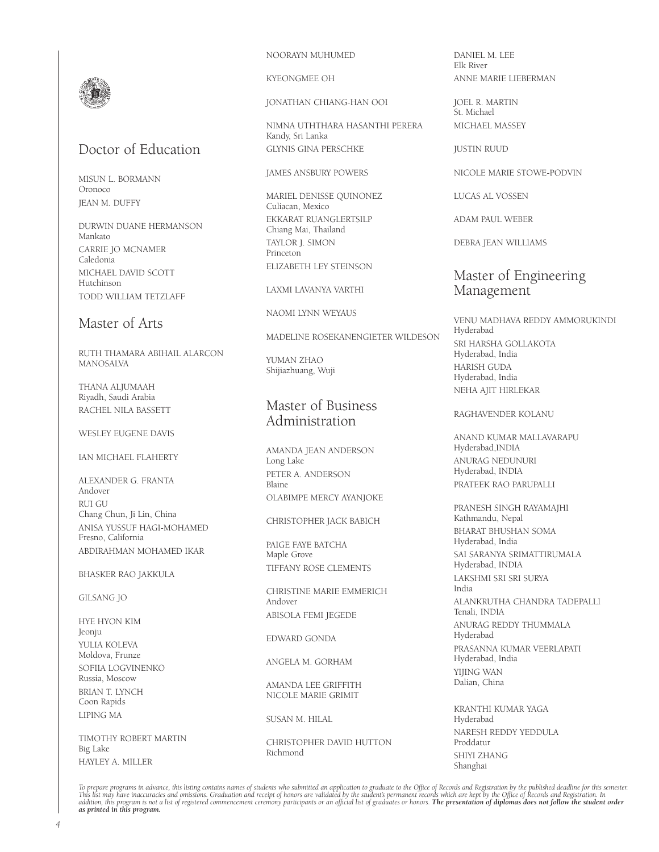

# Doctor of Education

MISUN L. BORMANN Oronoco JEAN M. DUFFY

DURWIN DUANE HERMANSON Mankato CARRIE JO MCNAMER Caledonia MICHAEL DAVID SCOTT Hutchinson TODD WILLIAM TETZLAFF

# Master of Arts

RUTH THAMARA ABIHAIL ALARCON MANOSALVA

THANA ALIUMAAH Riyadh, Saudi Arabia RACHEL NILA BASSETT

WESLEY EUGENE DAVIS

IAN MICHAEL FLAHERTY

ALEXANDER G. FRANTA Andover RUI GU Chang Chun, Ji Lin, China ANISA YUSSUF HAGI-MOHAMED Fresno, California ABDIRAHMAN MOHAMED IKAR

#### BHASKER RAO JAKKULA

GILSANG JO

HYE HYON KIM Jeonju YULIA KOLEVA Moldova, Frunze SOFIIA LOGVINENKO Russia, Moscow BRIAN T. LYNCH Coon Rapids LIPING MA

TIMOTHY ROBERT MARTIN Big Lake HAYLEY A. MILLER

#### NOORAYN MUHUMED

KYEONGMEE OH

#### JONATHAN CHIANG-HAN OOI

NIMNA UTHTHARA HASANTHI PERERA Kandy, Sri Lanka GLYNIS GINA PERSCHKE

#### JAMES ANSBURY POWERS

MARIEL DENISSE QUINONEZ Culiacan, Mexico EKKARAT RUANGLERTSILP Chiang Mai, Thailand TAYLOR J. SIMON Princeton ELIZABETH LEY STEINSON

#### LAXMI LAVANYA VARTHI

NAOMI LYNN WEYAUS

MADELINE ROSEKANENGIETER WILDESON

YUMAN ZHAO Shijiazhuang, Wuji

# Master of Business Administration

AMANDA JEAN ANDERSON Long Lake PETER A. ANDERSON Blaine OLABIMPE MERCY AYANJOKE

#### CHRISTOPHER JACK BABICH

PAIGE FAYE BATCHA Maple Grove TIFFANY ROSE CLEMENTS

CHRISTINE MARIE EMMERICH Andover ABISOLA FEMI JEGEDE

EDWARD GONDA

ANGELA M. GORHAM

#### AMANDA LEE GRIFFITH NICOLE MARIE GRIMIT

SUSAN M. HILAL

CHRISTOPHER DAVID HUTTON Richmond

DANIEL M. LEE Elk River ANNE MARIE LIEBERMAN

JOEL R. MARTIN St. Michael MICHAEL MASSEY

JUSTIN RUUD

NICOLE MARIE STOWE-PODVIN

LUCAS AL VOSSEN

ADAM PAUL WEBER

DEBRA JEAN WILLIAMS

# Master of Engineering Management

VENU MADHAVA REDDY AMMORUKINDI Hyderabad SRI HARSHA GOLLAKOTA Hyderabad, India HARISH GUDA Hyderabad, India NEHA AJIT HIRLEKAR

#### RAGHAVENDER KOLANU

ANAND KUMAR MALLAVARAPU Hyderabad,INDIA ANURAG NEDUNURI Hyderabad, INDIA PRATEEK RAO PARUPALLI

PRANESH SINGH RAYAMAJHI Kathmandu, Nepal BHARAT BHUSHAN SOMA Hyderabad, India SAI SARANYA SRIMATTIRUMALA Hyderabad, INDIA LAKSHMI SRI SRI SURYA India ALANKRUTHA CHANDRA TADEPALLI Tenali, INDIA ANURAG REDDY THUMMALA Hyderabad PRASANNA KUMAR VEERLAPATI Hyderabad, India YIJING WAN Dalian, China

KRANTHI KUMAR YAGA Hyderabad NARESH REDDY YEDDULA Proddatur SHIYI ZHANG Shanghai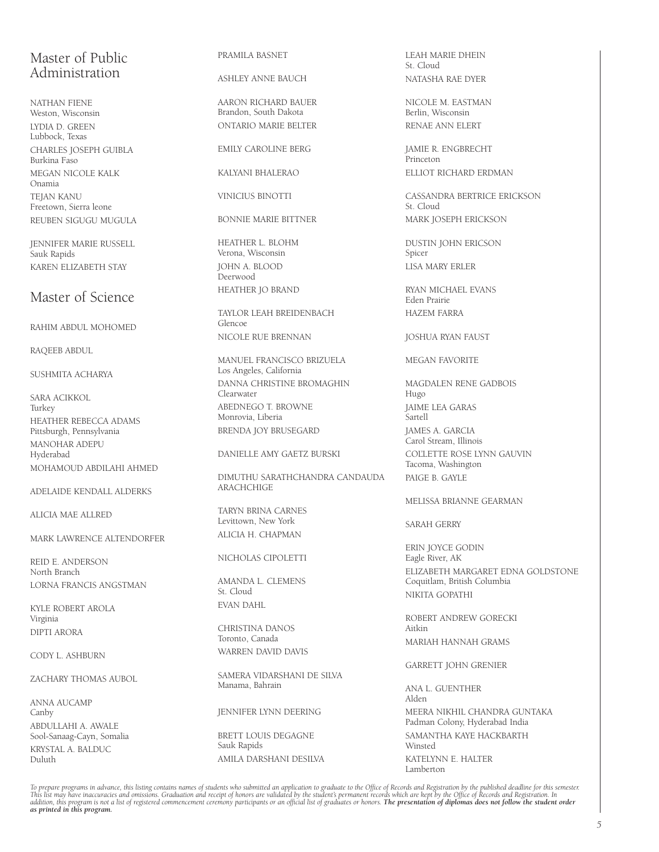# Master of Public Administration

NATHAN FIENE Weston, Wisconsin LYDIA D. GREEN Lubbock, Texas CHARLES JOSEPH GUIBLA Burkina Faso MEGAN NICOLE KALK Onamia TEJAN KANU Freetown, Sierra leone REUBEN SIGUGU MUGULA

JENNIFER MARIE RUSSELL Sauk Rapids KAREN ELIZABETH STAY

# Master of Science

RAHIM ABDUL MOHOMED

RAQEEB ABDUL

SUSHMITA ACHARYA

SARA ACIKKOL Turkey HEATHER REBECCA ADAMS Pittsburgh, Pennsylvania MANOHAR ADEPU Hyderabad MOHAMOUD ABDILAHI AHMED

ADELAIDE KENDALL ALDERKS

ALICIA MAE ALLRED

MARK LAWRENCE ALTENDORFER

REID E. ANDERSON North Branch LORNA FRANCIS ANGSTMAN

KYLE ROBERT AROLA Virginia DIPTI ARORA

CODY L. ASHBURN

ZACHARY THOMAS AUBOL

ANNA AUCAMP Canby ABDULLAHI A. AWALE Sool-Sanaag-Cayn, Somalia KRYSTAL A. BALDUC Duluth

#### PRAMILA BASNET

ASHLEY ANNE BAUCH

AARON RICHARD BAUER Brandon, South Dakota ONTARIO MARIE BELTER

EMILY CAROLINE BERG

KALYANI BHALERAO

VINICIUS BINOTTI

BONNIE MARIE BITTNER

HEATHER L. BLOHM Verona, Wisconsin JOHN A. BLOOD Deerwood HEATHER JO BRAND

TAYLOR LEAH BREIDENBACH Glencoe NICOLE RUE BRENNAN

MANUEL FRANCISCO BRIZUELA Los Angeles, California DANNA CHRISTINE BROMAGHIN Clearwater ABEDNEGO T. BROWNE Monrovia, Liberia BRENDA JOY BRUSEGARD

DANIELLE AMY GAETZ BURSKI

DIMUTHU SARATHCHANDRA CANDAUDA ARACHCHIGE

TARYN BRINA CARNES Levittown, New York ALICIA H. CHAPMAN

#### NICHOLAS CIPOLETTI

AMANDA L. CLEMENS St. Cloud EVAN DAHL

CHRISTINA DANOS Toronto, Canada WARREN DAVID DAVIS

SAMERA VIDARSHANI DE SILVA Manama, Bahrain

JENNIFER LYNN DEERING

BRETT LOUIS DEGAGNE Sauk Rapids AMILA DARSHANI DESILVA LEAH MARIE DHEIN St. Cloud NATASHA RAE DYER

NICOLE M. EASTMAN Berlin, Wisconsin RENAE ANN ELERT

JAMIE R. ENGBRECHT **Princeton** ELLIOT RICHARD ERDMAN

CASSANDRA BERTRICE ERICKSON St. Cloud MARK JOSEPH ERICKSON

DUSTIN JOHN ERICSON Spicer LISA MARY ERLER

RYAN MICHAEL EVANS Eden Prairie HAZEM FARRA

JOSHUA RYAN FAUST

MEGAN FAVORITE

MAGDALEN RENE GADBOIS Hugo JAIME LEA GARAS Sartell JAMES A. GARCIA Carol Stream, Illinois COL'LETTE ROSE LYNN GAUVIN Tacoma, Washington PAIGE B. GAYLE

#### MELISSA BRIANNE GEARMAN

SARAH GERRY

ERIN JOYCE GODIN Eagle River, AK ELIZABETH MARGARET EDNA GOLDSTONE Coquitlam, British Columbia NIKITA GOPATHI

ROBERT ANDREW GORECKI Aitkin MARIAH HANNAH GRAMS

GARRETT JOHN GRENIER

ANA L. GUENTHER Alden MEERA NIKHIL CHANDRA GUNTAKA Padman Colony, Hyderabad India SAMANTHA KAYE HACKBARTH Winsted KATELYNN E. HALTER Lamberton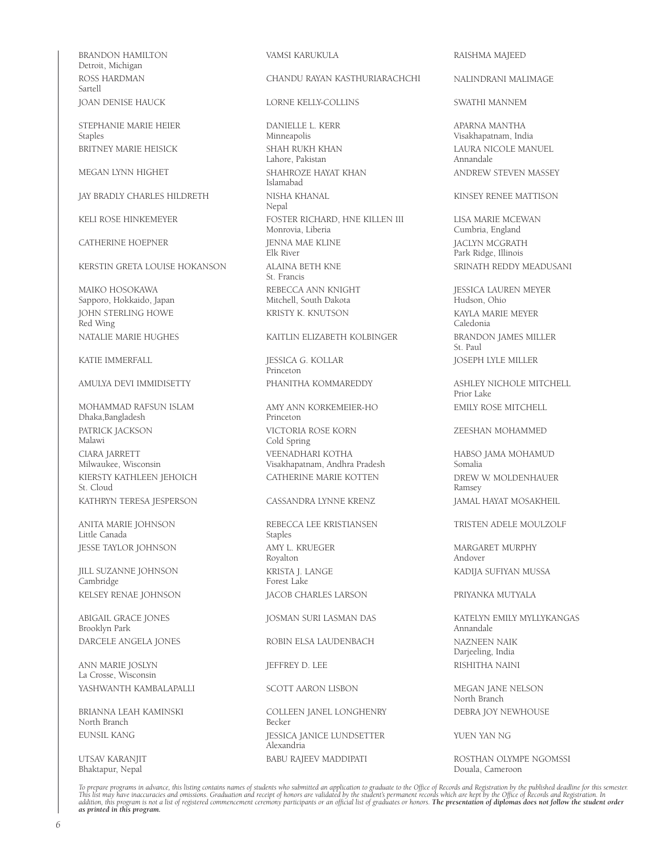BRANDON HAMILTON Detroit, Michigan ROSS HARDMAN Sartell JOAN DENISE HAUCK

STEPHANIE MARIE HEIER Staples BRITNEY MARIE HEISICK

MEGAN LYNN HIGHET

JAY BRADLY CHARLES HILDRETH

KELI ROSE HINKEMEYER

CATHERINE HOEPNER

KERSTIN GRETA LOUISE HOKANSON

MAIKO HOSOKAWA Sapporo, Hokkaido, Japan JOHN STERLING HOWE Red Wing NATALIE MARIE HUGHES

KATIE IMMERFALL

#### AMULYA DEVI IMMIDISETTY

MOHAMMAD RAFSUN ISLAM Dhaka,Bangladesh PATRICK JACKSON Malawi CIARA JARRETT Milwaukee, Wisconsin KIERSTY KATHLEEN JEHOICH St. Cloud KATHRYN TERESA JESPERSON

ANITA MARIE JOHNSON Little Canada JESSE TAYLOR JOHNSON

JILL SUZANNE JOHNSON Cambridge KELSEY RENAE JOHNSON

ABIGAIL GRACE JONES Brooklyn Park DARCELE ANGELA JONES

ANN MARIE JOSLYN La Crosse, Wisconsin YASHWANTH KAMBALAPALLI

BRIANNA LEAH KAMINSKI North Branch EUNSIL KANG

UTSAV KARANJIT Bhaktapur, Nepal

#### VAMSI KARUKULA

#### CHANDU RAYAN KASTHURIARACHCHI

#### LORNE KELLY-COLLINS

DANIELLE L. KERR Minneapolis SHAH RUKH KHAN Lahore, Pakistan SHAHROZE HAYAT KHAN Islamabad NISHA KHANAL Nepal FOSTER RICHARD, HNE KILLEN III Monrovia, Liberia **IFNNA MAF KLINE** Elk River ALAINA BETH KNE St. Francis REBECCA ANN KNIGHT Mitchell, South Dakota KRISTY K. KNUTSON

#### KAITLIN ELIZABETH KOLBINGER

JESSICA G. KOLLAR Princeton PHANITHA KOMMAREDDY

AMY ANN KORKEMEIER-HO Princeton VICTORIA ROSE KORN Cold Spring VEENADHARI KOTHA Visakhapatnam, Andhra Pradesh CATHERINE MARIE KOTTEN

#### CASSANDRA LYNNE KRENZ

REBECCA LEE KRISTIANSEN Staples AMY L. KRUEGER Royalton KRISTA J. LANGE Forest Lake JACOB CHARLES LARSON

JOSMAN SURI LASMAN DAS

ROBIN ELSA LAUDENBACH

JEFFREY D. LEE

#### SCOTT AARON LISBON

COLLEEN JANEL LONGHENRY Becker JESSICA JANICE LUNDSETTER Alexandria BABU RAJEEV MADDIPATI

#### RAISHMA MAJEED

#### NALINDRANI MALIMAGE

#### SWATHI MANNEM

APARNA MANTHA Visakhapatnam, India LAURA NICOLE MANUEL Annandale ANDREW STEVEN MASSEY

#### KINSEY RENEE MATTISON

LISA MARIE MCEWAN Cumbria, England JACLYN MCGRATH Park Ridge, Illinois SRINATH REDDY MEADUSANI

JESSICA LAUREN MEYER Hudson, Ohio KAYLA MARIE MEYER Caledonia BRANDON JAMES MILLER St. Paul JOSEPH LYLE MILLER

ASHLEY NICHOLE MITCHELL Prior Lake EMILY ROSE MITCHELL

#### ZEESHAN MOHAMMED

HABSO JAMA MOHAMUD Somalia DREW W. MOLDENHAUER Ramsey JAMAL HAYAT MOSAKHEIL

#### TRISTEN ADELE MOULZOLF

MARGARET MURPHY Andover KADIJA SUFIYAN MUSSA

#### PRIYANKA MUTYALA

KATELYN EMILY MYLLYKANGAS Annandale NAZNEEN NAIK Darjeeling, India RISHITHA NAINI

MEGAN JANE NELSON North Branch DEBRA JOY NEWHOUSE

#### YUEN YAN NG

ROSTHAN OLYMPE NGOMSSI Douala, Cameroon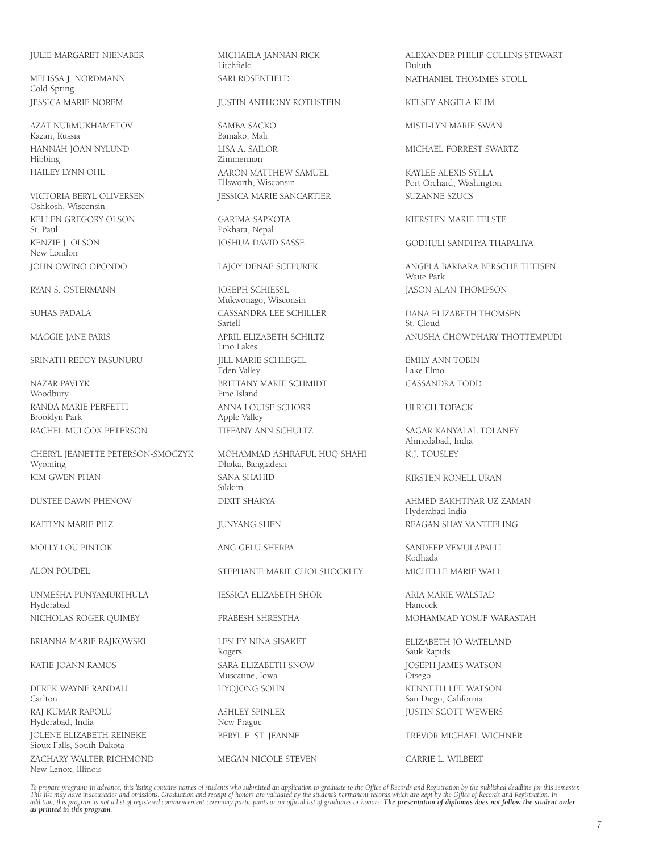#### JULIE MARGARET NIENABER

MELISSA J. NORDMANN Cold Spring JESSICA MARIE NOREM

AZAT NURMUKHAMETOV Kazan, Russia HANNAH JOAN NYLUND Hibbing HAILEY LYNN OHL

VICTORIA BERYL OLIVERSEN Oshkosh, Wisconsin KELLEN GREGORY OLSON St. Paul KENZIE J. OLSON New London JOHN OWINO OPONDO

RYAN S. OSTERMANN

SUHAS PADALA

MAGGIE JANE PARIS

SRINATH REDDY PASUNURU

NAZAR PAVLYK Woodbury RANDA MARIE PERFETTI Brooklyn Park RACHEL MULCOX PETERSON

CHERYL JEANETTE PETERSON-SMOCZYK Wyoming KIM GWEN PHAN

DUSTEE DAWN PHENOW

KAITLYN MARIE PILZ

MOLLY LOU PINTOK

ALON POUDEL

UNMESHA PUNYAMURTHULA Hyderabad NICHOLAS ROGER QUIMBY

BRIANNA MARIE RAJKOWSKI

KATIE JOANN RAMOS

DEREK WAYNE RANDALL Carlton RAJ KUMAR RAPOLU Hyderabad, India JOLENE ELIZABETH REINEKE Sioux Falls, South Dakota ZACHARY WALTER RICHMOND New Lenox, Illinois

MICHAELA JANNAN RICK Litchfield SARI ROSENFIELD

#### JUSTIN ANTHONY ROTHSTEIN

SAMBA SACKO Bamako, Mali LISA A. SAILOR Zimmerman AARON MATTHEW SAMUEL Ellsworth, Wisconsin JESSICA MARIE SANCARTIER

GARIMA SAPKOTA Pokhara, Nepal JOSHUA DAVID SASSE

LAJOY DENAE SCEPUREK

JOSEPH SCHIESSL Mukwonago, Wisconsin CASSANDRA LEE SCHILLER Sartell APRIL ELIZABETH SCHILTZ Lino Lakes JILL MARIE SCHLEGEL Eden Valley BRITTANY MARIE SCHMIDT Pine Island ANNA LOUISE SCHORR Apple Valley TIFFANY ANN SCHULTZ

MOHAMMAD ASHRAFUL HUQ SHAHI Dhaka, Bangladesh SANA SHAHID Sikkim DIXIT SHAKYA

JUNYANG SHEN

ANG GELU SHERPA

STEPHANIE MARIE CHOI SHOCKLEY

JESSICA ELIZABETH SHOR

PRABESH SHRESTHA

LESLEY NINA SISAKET Rogers SARA ELIZABETH SNOW Muscatine, Iowa HYOJONG SOHN

ASHLEY SPINLER New Prague BERYL E. ST. JEANNE

MEGAN NICOLE STEVEN

ALEXANDER PHILIP COLLINS STEWART Duluth NATHANIEL THOMMES STOLL

KELSEY ANGELA KLIM

MISTI-LYN MARIE SWAN

MICHAEL FORREST SWARTZ

KAYLEE ALEXIS SYLLA Port Orchard, Washington SUZANNE SZUCS

KIERSTEN MARIE TELSTE

GODHULI SANDHYA THAPALIYA

ANGELA BARBARA BERSCHE THEISEN Waite Park JASON ALAN THOMPSON

DANA ELIZABETH THOMSEN St. Cloud ANUSHA CHOWDHARY THOTTEMPUDI

EMILY ANN TOBIN Lake Elmo CASSANDRA TODD

ULRICH TOFACK

SAGAR KANYALAL TOLANEY Ahmedabad, India K.J. TOUSLEY

KIRSTEN RONELL URAN

AHMED BAKHTIYAR UZ ZAMAN Hyderabad India REAGAN SHAY VANTEELING

SANDEEP VEMULAPALLI Kodhada MICHELLE MARIE WALL

ARIA MARIE WALSTAD Hancock MOHAMMAD YOSUF WARASTAH

ELIZABETH JO WATELAND Sauk Rapids JOSEPH JAMES WATSON Otsego KENNETH LEE WATSON San Diego, California JUSTIN SCOTT WEWERS

TREVOR MICHAEL WICHNER

CARRIE L. WILBERT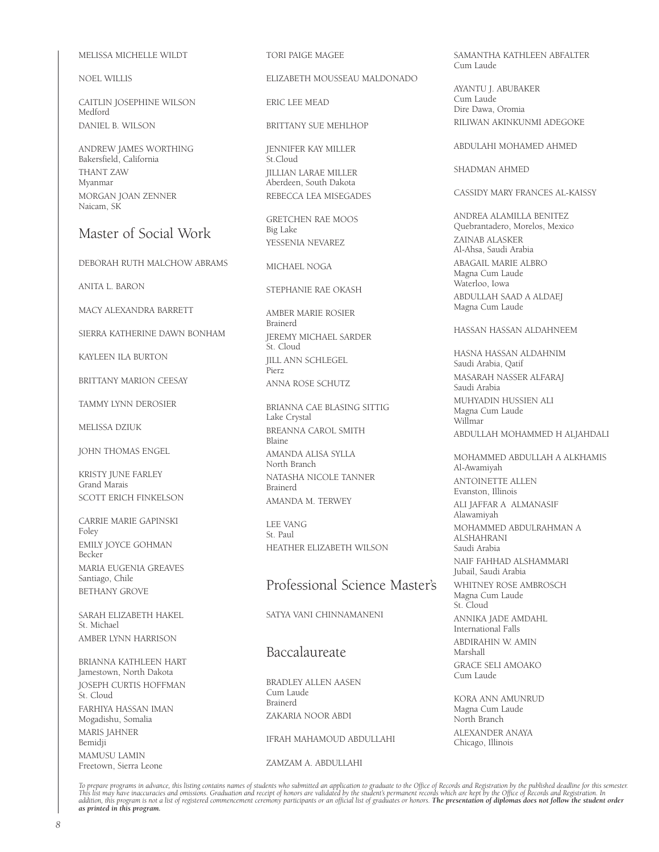#### MELISSA MICHELLE WILDT

NOEL WILLIS

CAITLIN JOSEPHINE WILSON Medford DANIEL B. WILSON

ANDREW JAMES WORTHING Bakersfield, California THANT ZAW Myanmar MORGAN JOAN ZENNER Naicam, SK

# Master of Social Work

DEBORAH RUTH MALCHOW ABRAMS

ANITA L. BARON

MACY ALEXANDRA BARRETT

SIERRA KATHERINE DAWN BONHAM

KAYLEEN ILA BURTON

BRITTANY MARION CEESAY

TAMMY LYNN DEROSIER

MELISSA DZIUK

JOHN THOMAS ENGEL

KRISTY JUNE FARLEY Grand Marais SCOTT ERICH FINKELSON

CARRIE MARIE GAPINSKI Foley EMILY JOYCE GOHMAN Becker MARIA EUGENIA GREAVES Santiago, Chile BETHANY GROVE

SARAH ELIZABETH HAKEL St. Michael AMBER LYNN HARRISON

BRIANNA KATHLEEN HART Jamestown, North Dakota JOSEPH CURTIS HOFFMAN St. Cloud FARHIYA HASSAN IMAN Mogadishu, Somalia MARIS JAHNER Bemidji MAMUSU LAMIN Freetown, Sierra Leone

TORI PAIGE MAGEE

ELIZABETH MOUSSEAU MALDONADO

ERIC LEE MEAD

BRITTANY SUE MEHLHOP

JENNIFER KAY MILLER St.Cloud JILLIAN LARAE MILLER Aberdeen, South Dakota REBECCA LEA MISEGADES

GRETCHEN RAE MOOS Big Lake YESSENIA NEVAREZ

MICHAEL NOGA

STEPHANIE RAE OKASH

AMBER MARIE ROSIER Brainerd JEREMY MICHAEL SARDER St. Cloud JILL ANN SCHLEGEL Pierz ANNA ROSE SCHUTZ

BRIANNA CAE BLASING SITTIG Lake Crystal BREANNA CAROL SMITH Blaine AMANDA ALISA SYLLA North Branch NATASHA NICOLE TANNER Brainerd

LEE VANG St. Paul HEATHER ELIZABETH WILSON

AMANDA M. TERWEY

# Professional Science Master's

SATYA VANI CHINNAMANENI

# Baccalaureate

BRADLEY ALLEN AASEN Cum Laude Brainerd ZAKARIA NOOR ABDI

IFRAH MAHAMOUD ABDULLAHI

ZAMZAM A. ABDULLAHI

SAMANTHA KATHLEEN ABFALTER Cum Laude

AYANTU J. ABUBAKER Cum Laude Dire Dawa, Oromia RILIWAN AKINKUNMI ADEGOKE

#### ABDULAHI MOHAMED AHMED

SHADMAN AHMED

#### CASSIDY MARY FRANCES AL-KAISSY

ANDREA ALAMILLA BENITEZ Quebrantadero, Morelos, Mexico ZAINAB ALASKER Al-Ahsa, Saudi Arabia ABAGAIL MARIE ALBRO Magna Cum Laude Waterloo, Iowa ABDULLAH SAAD A ALDAEJ Magna Cum Laude

#### HASSAN HASSAN ALDAHNEEM

HASNA HASSAN ALDAHNIM Saudi Arabia, Qatif MASARAH NASSER ALFARAJ Saudi Arabia MUHYADIN HUSSIEN ALI Magna Cum Laude Willmar

ABDULLAH MOHAMMED H ALJAHDALI

MOHAMMED ABDULLAH A ALKHAMIS Al-Awamiyah ANTOINETTE ALLEN Evanston, Illinois ALI JAFFAR A ALMANASIF Alawamiyah MOHAMMED ABDULRAHMAN A ALSHAHRANI Saudi Arabia NAIF FAHHAD ALSHAMMARI Jubail, Saudi Arabia WHITNEY ROSE AMBROSCH Magna Cum Laude St. Cloud ANNIKA JADE AMDAHL International Falls ABDIRAHIN W. AMIN Marshall GRACE SELI AMOAKO Cum Laude KORA ANN AMUNRUD

Magna Cum Laude North Branch ALEXANDER ANAYA Chicago, Illinois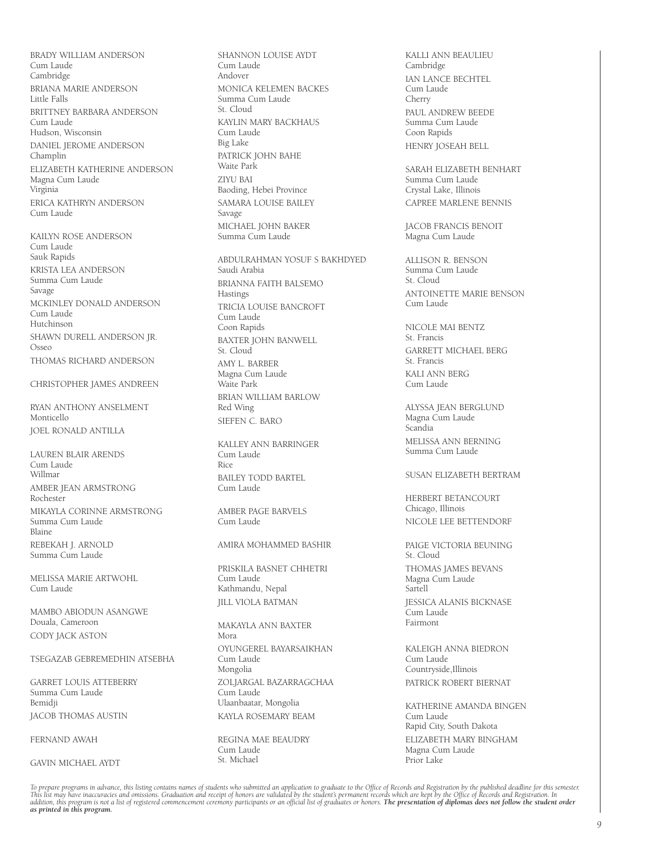BRADY WILLIAM ANDERSON Cum Laude Cambridge BRIANA MARIE ANDERSON Little Falls BRITTNEY BARBARA ANDERSON Cum Laude Hudson, Wisconsin DANIEL JEROME ANDERSON Champlin ELIZABETH KATHERINE ANDERSON Magna Cum Laude Virginia ERICA KATHRYN ANDERSON Cum Laude

KAILYN ROSE ANDERSON Cum Laude Sauk Rapids KRISTA LEA ANDERSON Summa Cum Laude Savage MCKINLEY DONALD ANDERSON Cum Laude Hutchinson SHAWN DURELL ANDERSON JR. Osseo THOMAS RICHARD ANDERSON

CHRISTOPHER JAMES ANDREEN

RYAN ANTHONY ANSELMENT Monticello JOEL RONALD ANTILLA

LAUREN BLAIR ARENDS Cum Laude Willmar AMBER JEAN ARMSTRONG Rochester MIKAYLA CORINNE ARMSTRONG Summa Cum Laude Blaine REBEKAH J. ARNOLD Summa Cum Laude

MELISSA MARIE ARTWOHL Cum Laude

MAMBO ABIODUN ASANGWE Douala, Cameroon CODY JACK ASTON

#### TSEGAZAB GEBREMEDHIN ATSEBHA

GARRET LOUIS ATTEBERRY Summa Cum Laude Bemidji JACOB THOMAS AUSTIN

FERNAND AWAH

GAVIN MICHAEL AYDT

SHANNON LOUISE AYDT Cum Laude Andover MONICA KELEMEN BACKES Summa Cum Laude St. Cloud KAYLIN MARY BACKHAUS Cum Laude Big Lake PATRICK JOHN BAHE Waite Park ZIYU BAI Baoding, Hebei Province SAMARA LOUISE BAILEY Savage MICHAEL JOHN BAKER Summa Cum Laude

ABDULRAHMAN YOSUF S BAKHDYED Saudi Arabia BRIANNA FAITH BALSEMO Hastings TRICIA LOUISE BANCROFT Cum Laude Coon Rapids BAXTER JOHN BANWELL St. Cloud AMY L. BARBER Magna Cum Laude Waite Park BRIAN WILLIAM BARLOW Red Wing SIEFEN C. BARO

KALLEY ANN BARRINGER Cum Laude Rice BAILEY TODD BARTEL Cum Laude

AMBER PAGE BARVELS Cum Laude

#### AMIRA MOHAMMED BASHIR

PRISKILA BASNET CHHETRI Cum Laude Kathmandu, Nepal JILL VIOLA BATMAN

MAKAYLA ANN BAXTER Mora OYUNGEREL BAYARSAIKHAN Cum Laude Mongolia ZOLJARGAL BAZARRAGCHAA Cum Laude Ulaanbaatar, Mongolia KAYLA ROSEMARY BEAM

REGINA MAE BEAUDRY Cum Laude St. Michael

KALLI ANN BEAULIEU Cambridge IAN LANCE BECHTEL Cum Laude Cherry PAUL ANDREW BEEDE Summa Cum Laude Coon Rapids HENRY JOSEAH BELL

SARAH ELIZABETH BENHART Summa Cum Laude Crystal Lake, Illinois CAPREE MARLENE BENNIS

JACOB FRANCIS BENOIT Magna Cum Laude

ALLISON R. BENSON Summa Cum Laude St. Cloud ANTOINETTE MARIE BENSON Cum Laude

NICOLE MAI BENTZ St. Francis GARRETT MICHAEL BERG St. Francis KALI ANN BERG Cum Laude

ALYSSA JEAN BERGLUND Magna Cum Laude Scandia MELISSA ANN BERNING Summa Cum Laude

#### SUSAN ELIZABETH BERTRAM

HERBERT BETANCOURT Chicago, Illinois NICOLE LEE BETTENDORF

PAIGE VICTORIA BEUNING St. Cloud THOMAS JAMES BEVANS Magna Cum Laude **Sartell** JESSICA ALANIS BICKNASE Cum Laude Fairmont

KALEIGH ANNA BIEDRON Cum Laude Countryside,Illinois PATRICK ROBERT BIERNAT

KATHERINE AMANDA BINGEN Cum Laude Rapid City, South Dakota ELIZABETH MARY BINGHAM Magna Cum Laude Prior Lake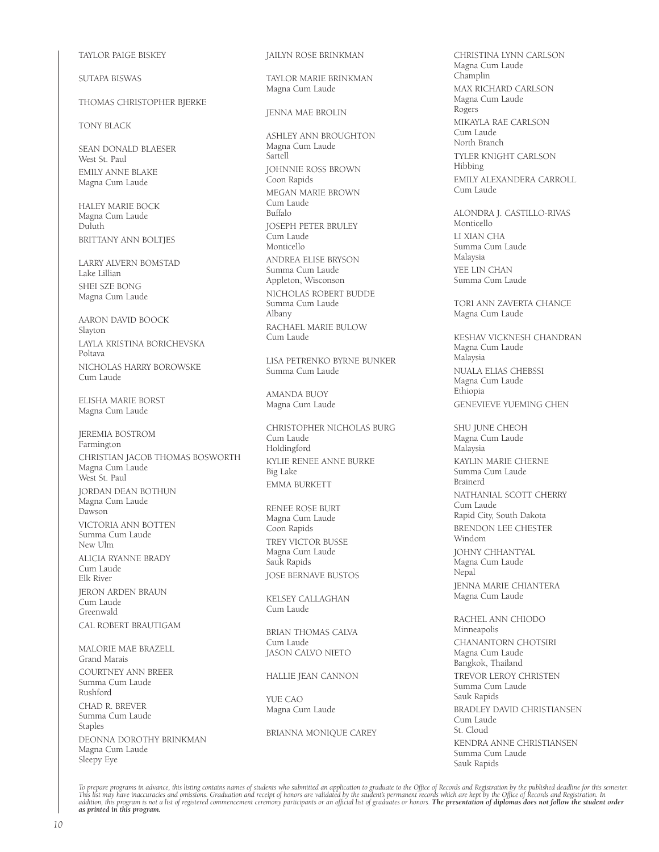TAYLOR PAIGE BISKEY

SUTAPA BISWAS

#### THOMAS CHRISTOPHER BJERKE

TONY BLACK

SEAN DONALD BLAESER West St. Paul EMILY ANNE BLAKE Magna Cum Laude

HALEY MARIE BOCK Magna Cum Laude Duluth BRITTANY ANN BOLTJES

LARRY ALVERN BOMSTAD Lake Lillian SHEI SZE BONG Magna Cum Laude

AARON DAVID BOOCK Slayton LAYLA KRISTINA BORICHEVSKA Poltava NICHOLAS HARRY BOROWSKE Cum Laude

ELISHA MARIE BORST Magna Cum Laude

JEREMIA BOSTROM Farmington CHRISTIAN JACOB THOMAS BOSWORTH Magna Cum Laude West St. Paul JORDAN DEAN BOTHUN Magna Cum Laude Dawson VICTORIA ANN BOTTEN Summa Cum Laude New Ulm ALICIA RYANNE BRADY Cum Laude Elk River JERON ARDEN BRAUN Cum Laude Greenwald CAL ROBERT BRAUTIGAM MALORIE MAE BRAZELL

Grand Marais COURTNEY ANN BREER Summa Cum Laude Rushford CHAD R. BREVER Summa Cum Laude Staples DEONNA DOROTHY BRINKMAN Magna Cum Laude Sleepy Eye

JAILYN ROSE BRINKMAN

TAYLOR MARIE BRINKMAN Magna Cum Laude

JENNA MAE BROLIN

ASHLEY ANN BROUGHTON Magna Cum Laude Sartell JOHNNIE ROSS BROWN Coon Rapids MEGAN MARIE BROWN Cum Laude Buffalo JOSEPH PETER BRULEY Cum Laude Monticello ANDREA ELISE BRYSON Summa Cum Laude Appleton, Wisconson NICHOLAS ROBERT BUDDE Summa Cum Laude Albany RACHAEL MARIE BULOW Cum Laude

LISA PETRENKO BYRNE BUNKER Summa Cum Laude

AMANDA BUOY Magna Cum Laude

CHRISTOPHER NICHOLAS BURG Cum Laude Holdingford KYLIE RENEE ANNE BURKE Big Lake EMMA BURKETT

RENEE ROSE BURT Magna Cum Laude Coon Rapids TREY VICTOR BUSSE Magna Cum Laude Sauk Rapids JOSE BERNAVE BUSTOS

KELSEY CALLAGHAN Cum Laude

BRIAN THOMAS CALVA Cum Laude JASON CALVO NIETO

HALLIE JEAN CANNON

YUE CAO Magna Cum Laude

BRIANNA MONIQUE CAREY

CHRISTINA LYNN CARLSON Magna Cum Laude Champlin MAX RICHARD CARLSON Magna Cum Laude Rogers MIKAYLA RAE CARLSON Cum Laude North Branch TYLER KNIGHT CARLSON Hibbing EMILY ALEXANDERA CARROLL Cum Laude

ALONDRA J. CASTILLO-RIVAS Monticello LI XIAN CHA Summa Cum Laude Malaysia YEE LIN CHAN Summa Cum Laude

TORI ANN ZAVERTA CHANCE Magna Cum Laude

KESHAV VICKNESH CHANDRAN Magna Cum Laude Malaysia NUALA ELIAS CHEBSSI Magna Cum Laude Ethiopia GENEVIEVE YUEMING CHEN

SHU JUNE CHEOH Magna Cum Laude Malaysia KAYLIN MARIE CHERNE Summa Cum Laude Brainerd NATHANIAL SCOTT CHERRY Cum Laude Rapid City, South Dakota BRENDON LEE CHESTER Windom JOHNY CHHANTYAL Magna Cum Laude Nepal JENNA MARIE CHIANTERA Magna Cum Laude

RACHEL ANN CHIODO Minneapolis CHANANTORN CHOTSIRI Magna Cum Laude Bangkok, Thailand TREVOR LEROY CHRISTEN Summa Cum Laude Sauk Rapids BRADLEY DAVID CHRISTIANSEN Cum Laude St. Cloud KENDRA ANNE CHRISTIANSEN Summa Cum Laude Sauk Rapids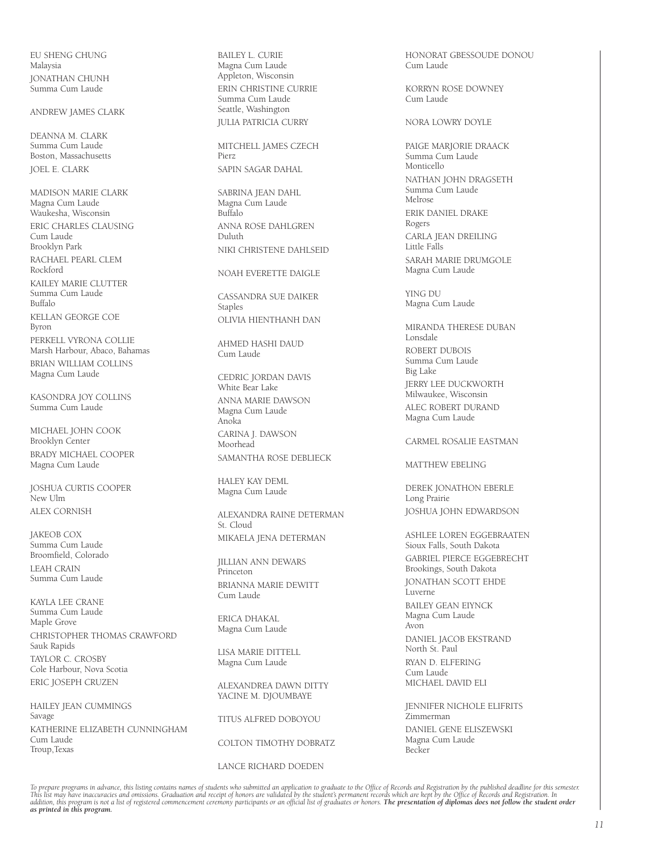EU SHENG CHUNG Malaysia JONATHAN CHUNH Summa Cum Laude

ANDREW JAMES CLARK

DEANNA M. CLARK Summa Cum Laude Boston, Massachusetts JOEL E. CLARK

MADISON MARIE CLARK Magna Cum Laude Waukesha, Wisconsin ERIC CHARLES CLAUSING Cum Laude Brooklyn Park RACHAEL PEARL CLEM Rockford KAILEY MARIE CLUTTER Summa Cum Laude Buffalo KELLAN GEORGE COE Byron PERKELL VYRONA COLLIE Marsh Harbour, Abaco, Bahamas BRIAN WILLIAM COLLINS Magna Cum Laude

KASONDRA JOY COLLINS Summa Cum Laude

MICHAEL JOHN COOK Brooklyn Center BRADY MICHAEL COOPER Magna Cum Laude

JOSHUA CURTIS COOPER New Ulm ALEX CORNISH

JAKEOB COX Summa Cum Laude Broomfield, Colorado LEAH CRAIN Summa Cum Laude

KAYLA LEE CRANE Summa Cum Laude Maple Grove CHRISTOPHER THOMAS CRAWFORD Sauk Rapids TAYLOR C. CROSBY Cole Harbour, Nova Scotia ERIC JOSEPH CRUZEN

HAILEY JEAN CUMMINGS Savage KATHERINE ELIZABETH CUNNINGHAM Cum Laude Troup,Texas

BAILEY L. CURIE Magna Cum Laude Appleton, Wisconsin ERIN CHRISTINE CURRIE Summa Cum Laude Seattle, Washington JULIA PATRICIA CURRY

MITCHELL JAMES CZECH Pierz SAPIN SAGAR DAHAL

SABRINA JEAN DAHL Magna Cum Laude Buffalo ANNA ROSE DAHLGREN Duluth NIKI CHRISTENE DAHLSEID

#### NOAH EVERETTE DAIGLE

CASSANDRA SUE DAIKER Staples OLIVIA HIENTHANH DAN

AHMED HASHI DAUD Cum Laude

CEDRIC JORDAN DAVIS White Bear Lake ANNA MARIE DAWSON Magna Cum Laude Anoka CARINA J. DAWSON Moorhead SAMANTHA ROSE DEBLIECK

HALEY KAY DEML Magna Cum Laude

ALEXANDRA RAINE DETERMAN St. Cloud MIKAELA JENA DETERMAN

JILLIAN ANN DEWARS Princeton BRIANNA MARIE DEWITT Cum Laude

ERICA DHAKAL Magna Cum Laude

LISA MARIE DITTELL Magna Cum Laude

ALEXANDREA DAWN DITTY YACINE M. DJOUMBAYE

TITUS ALFRED DOBOYOU COLTON TIMOTHY DOBRATZ

LANCE RICHARD DOEDEN

HONORAT GBESSOUDE DONOU Cum Laude

KORRYN ROSE DOWNEY Cum Laude

NORA LOWRY DOYLE

PAIGE MARJORIE DRAACK Summa Cum Laude Monticello NATHAN JOHN DRAGSETH Summa Cum Laude Melrose ERIK DANIEL DRAKE Rogers CARLA JEAN DREILING Little Falls SARAH MARIE DRUMGOLE Magna Cum Laude

YING DU Magna Cum Laude

MIRANDA THERESE DUBAN Lonsdale ROBERT DUBOIS Summa Cum Laude Big Lake JERRY LEE DUCKWORTH Milwaukee, Wisconsin ALEC ROBERT DURAND Magna Cum Laude

CARMEL ROSALIE EASTMAN

MATTHEW EBELING

DEREK JONATHON EBERLE Long Prairie JOSHUA JOHN EDWARDSON

ASHLEE LOREN EGGEBRAATEN Sioux Falls, South Dakota GABRIEL PIERCE EGGEBRECHT Brookings, South Dakota JONATHAN SCOTT EHDE Luverne BAILEY GEAN EIYNCK Magna Cum Laude Avon DANIEL JACOB EKSTRAND North St. Paul RYAN D. ELFERING Cum Laude MICHAEL DAVID ELI

JENNIFER NICHOLE ELIFRITS *.*<br>Zimmerman DANIEL GENE ELISZEWSKI Magna Cum Laude Becker

To prepare programs in advance, this listing contains names of students who submitted an application to graduate to the Office of Records and Registration by the published deadline for this semester.<br>This list may have ina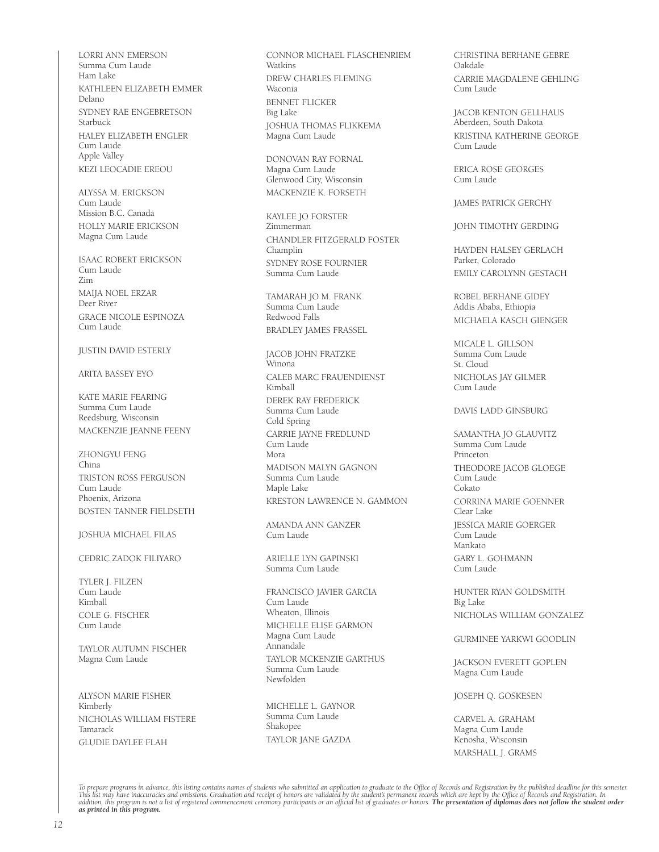LORRI ANN EMERSON Summa Cum Laude Ham Lake KATHLEEN ELIZABETH EMMER Delano SYDNEY RAE ENGEBRETSON Starbuck HALEY ELIZABETH ENGLER Cum Laude Apple Valley KEZI LEOCADIE EREOU

ALYSSA M. ERICKSON Cum Laude Mission B.C. Canada HOLLY MARIE ERICKSON Magna Cum Laude

ISAAC ROBERT ERICKSON Cum Laude Zim MAIJA NOEL ERZAR Deer River GRACE NICOLE ESPINOZA Cum Laude

#### JUSTIN DAVID ESTERLY

#### ARITA BASSEY EYO

KATE MARIE FEARING Summa Cum Laude Reedsburg, Wisconsin MACKENZIE JEANNE FEENY

ZHONGYU FENG China TRISTON ROSS FERGUSON Cum Laude Phoenix, Arizona BOSTEN TANNER FIELDSETH

JOSHUA MICHAEL FILAS

#### CEDRIC ZADOK FILIYARO

TYLER J. FILZEN Cum Laude Kimball COLE G. FISCHER Cum Laude

TAYLOR AUTUMN FISCHER Magna Cum Laude

ALYSON MARIE FISHER Kimberly NICHOLAS WILLIAM FISTERE Tamarack GLUDIE DAYLEE FLAH

CONNOR MICHAEL FLASCHENRIEM Watkins DREW CHARLES FLEMING Waconia BENNET FLICKER Big Lake JOSHUA THOMAS FLIKKEMA Magna Cum Laude

DONOVAN RAY FORNAL Magna Cum Laude Glenwood City, Wisconsin MACKENZIE K. FORSETH

KAYLEE JO FORSTER Zimmerman CHANDLER FITZGERALD FOSTER Champlin SYDNEY ROSE FOURNIER Summa Cum Laude

TAMARAH JO M. FRANK Summa Cum Laude Redwood Falls BRADLEY JAMES FRASSEL

JACOB JOHN FRATZKE Winona CALEB MARC FRAUENDIENST Kimball DEREK RAY FREDERICK Summa Cum Laude Cold Spring CARRIE JAYNE FREDLUND Cum Laude Mora MADISON MALYN GAGNON Summa Cum Laude Maple Lake KRESTON LAWRENCE N. GAMMON

AMANDA ANN GANZER Cum Laude

ARIELLE LYN GAPINSKI Summa Cum Laude

FRANCISCO JAVIER GARCIA Cum Laude Wheaton, Illinois MICHELLE ELISE GARMON Magna Cum Laude Annandale TAYLOR MCKENZIE GARTHUS Summa Cum Laude Newfolden

MICHELLE L. GAYNOR Summa Cum Laude Shakopee TAYLOR JANE GAZDA

CHRISTINA BERHANE GEBRE Oakdale CARRIE MAGDALENE GEHLING Cum Laude

JACOB KENTON GELLHAUS Aberdeen, South Dakota KRISTINA KATHERINE GEORGE Cum Laude

ERICA ROSE GEORGES Cum Laude

JAMES PATRICK GERCHY

JOHN TIMOTHY GERDING

HAYDEN HALSEY GERLACH Parker, Colorado EMILY CAROLYNN GESTACH

ROBEL BERHANE GIDEY Addis Ababa, Ethiopia MICHAELA KASCH GIENGER

MICALE L. GILLSON Summa Cum Laude St. Cloud NICHOLAS JAY GILMER Cum Laude

DAVIS LADD GINSBURG

SAMANTHA JO GLAUVITZ Summa Cum Laude Princeton THEODORE JACOB GLOEGE Cum Laude Cokato CORRINA MARIE GOENNER Clear Lake JESSICA MARIE GOERGER **Cum Laude** Mankato GARY L. GOHMANN Cum Laude

HUNTER RYAN GOLDSMITH Big Lake NICHOLAS WILLIAM GONZALEZ

GURMINEE YARKWI GOODLIN

JACKSON EVERETT GOPLEN Magna Cum Laude

JOSEPH Q. GOSKESEN

CARVEL A. GRAHAM Magna Cum Laude Kenosha, Wisconsin MARSHALL J. GRAMS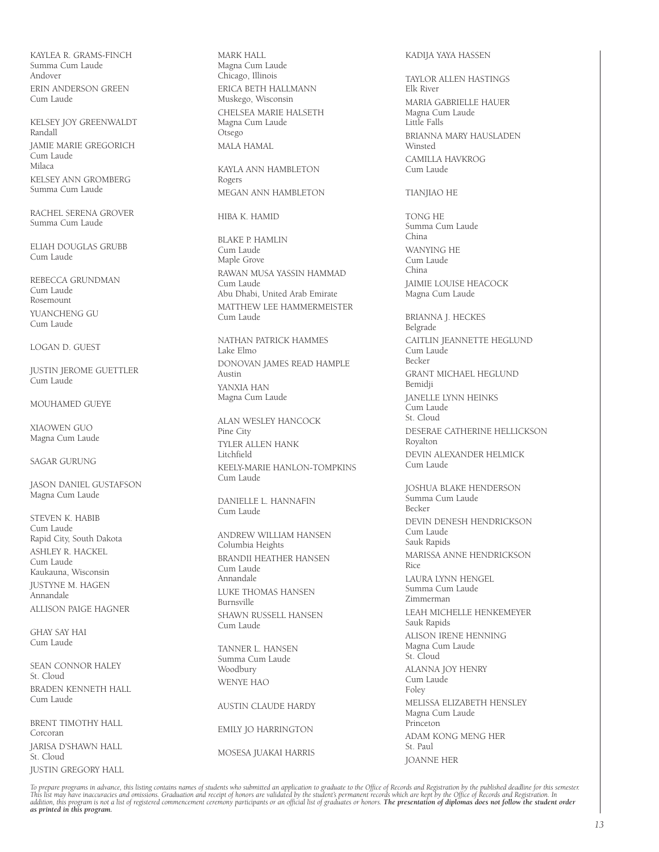KAYLEA R. GRAMS-FINCH Summa Cum Laude Andover ERIN ANDERSON GREEN Cum Laude

KELSEY JOY GREENWALDT Randall JAMIE MARIE GREGORICH Cum Laude Milaca KELSEY ANN GROMBERG Summa Cum Laude

RACHEL SERENA GROVER Summa Cum Laude

ELIAH DOUGLAS GRUBB Cum Laude

REBECCA GRUNDMAN Cum Laude Rosemount YUANCHENG GU Cum Laude

LOGAN D. GUEST

JUSTIN JEROME GUETTLER Cum Laude

MOUHAMED GUEYE

XIAOWEN GUO Magna Cum Laude

SAGAR GURUNG

JASON DANIEL GUSTAFSON Magna Cum Laude

STEVEN K. HABIB Cum Laude Rapid City, South Dakota ASHLEY R. HACKEL Cum Laude Kaukauna, Wisconsin JUSTYNE M. HAGEN Annandale ALLISON PAIGE HAGNER

GHAY SAY HAI Cum Laude

SEAN CONNOR HALFY St. Cloud BRADEN KENNETH HALL Cum Laude

BRENT TIMOTHY HALL Corcoran JARISA D'SHAWN HALL St. Cloud JUSTIN GREGORY HALL MARK HALL Magna Cum Laude Chicago, Illinois ERICA BETH HALLMANN Muskego, Wisconsin CHELSEA MARIE HALSETH Magna Cum Laude Otsego MALA HAMAL

KAYLA ANN HAMBLETON Rogers MEGAN ANN HAMBLETON

HIBA K. HAMID

BLAKE P. HAMLIN Cum Laude Maple Grove RAWAN MUSA YASSIN HAMMAD Cum Laude Abu Dhabi, United Arab Emirate MATTHEW LEE HAMMERMEISTER Cum Laude

NATHAN PATRICK HAMMES Lake Elmo DONOVAN JAMES READ HAMPLE Austin YANXIA HAN Magna Cum Laude

ALAN WESLEY HANCOCK Pine City TYLER ALLEN HANK Litchfield KEELY-MARIE HANLON-TOMPKINS Cum Laude

DANIFLLE L. HANNAFIN Cum Laude

ANDREW WILLIAM HANSEN Columbia Heights BRANDII HEATHER HANSEN Cum Laude Annandale LUKE THOMAS HANSEN Burnsville SHAWN RUSSELL HANSEN Cum Laude

TANNER L. HANSEN Summa Cum Laude Woodbury WENYE HAO

AUSTIN CLAUDE HARDY EMILY JO HARRINGTON MOSESA JUAKAI HARRIS

KADIJA YAYA HASSEN

TAYLOR ALLEN HASTINGS Elk River MARIA GABRIELLE HAUER Magna Cum Laude Little Falls BRIANNA MARY HAUSLADEN **Winsted** CAMILLA HAVKROG Cum Laude

#### TIANJIAO HE

TONG HE Summa Cum Laude China WANYING HE Cum Laude China JAIMIE LOUISE HEACOCK Magna Cum Laude

BRIANNA J. HECKES Belgrade CAITLIN JEANNETTE HEGLUND Cum Laude Becker GRANT MICHAEL HEGLUND Bemidji JANELLE LYNN HEINKS .<br>Cum Laude St. Cloud DESERAE CATHERINE HELLICKSON Royalton DEVIN ALEXANDER HELMICK Cum Laude

JOSHUA BLAKE HENDERSON Summa Cum Laude Becker DEVIN DENESH HENDRICKSON Cum Laude Sauk Rapids MARISSA ANNE HENDRICKSON Rice LAURA LYNN HENGEL Summa Cum Laude Zimmerman LEAH MICHELLE HENKEMEYER Sauk Rapids ALISON IRENE HENNING Magna Cum Laude St. Cloud ALANNA JOY HENRY Cum Laude Foley MELISSA ELIZABETH HENSLEY Magna Cum Laude Princeton ADAM KONG MENG HER St. Paul JOANNE HER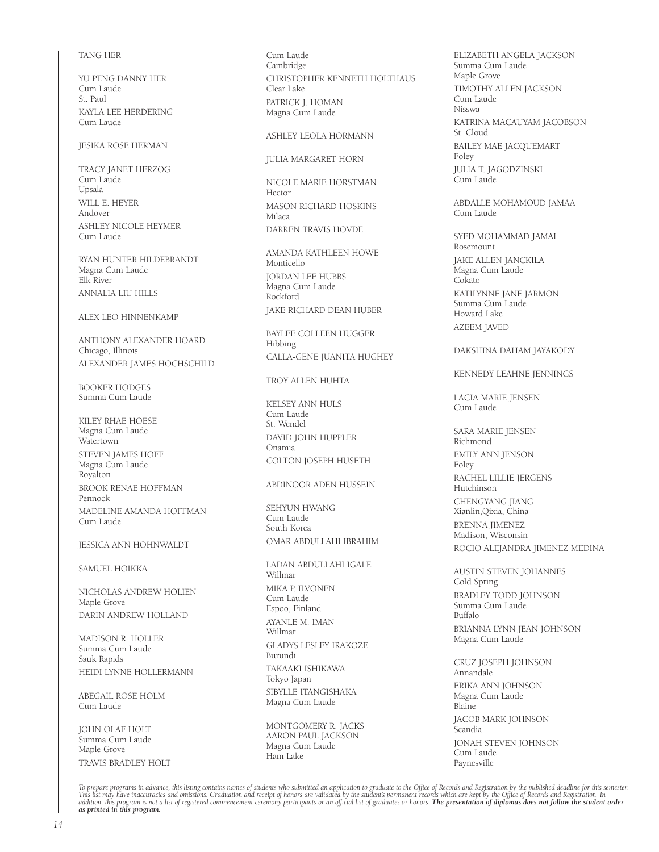#### TANG HER

YU PENG DANNY HER Cum Laude St. Paul KAYLA LEE HERDERING Cum Laude

#### JESIKA ROSE HERMAN

TRACY JANET HERZOG Cum Laude Upsala WILL E. HEYER Andover ASHLEY NICOLE HEYMER Cum Laude

RYAN HUNTER HILDEBRANDT Magna Cum Laude Elk River ANNALIA LIU HILLS

#### ALEX LEO HINNENKAMP

ANTHONY ALEXANDER HOARD Chicago, Illinois ALEXANDER JAMES HOCHSCHILD

BOOKER HODGES Summa Cum Laude

KILEY RHAE HOESE Magna Cum Laude Watertown STEVEN JAMES HOFF Magna Cum Laude Royalton BROOK RENAE HOFFMAN Pennock MADELINE AMANDA HOFFMAN Cum Laude

#### JESSICA ANN HOHNWALDT

SAMUEL HOIKKA

NICHOLAS ANDREW HOLIEN Maple Grove DARIN ANDREW HOLLAND

MADISON R. HOLLER Summa Cum Laude Sauk Rapids HEIDI LYNNE HOLLERMANN

ABEGAIL ROSE HOLM Cum Laude

JOHN OLAF HOLT .<br>Summa Cum Laude. Maple Grove TRAVIS BRADLEY HOLT Cum Laude Cambridge CHRISTOPHER KENNETH HOLTHAUS Clear Lake PATRICK J. HOMAN Magna Cum Laude

#### ASHLEY LEOLA HORMANN

JULIA MARGARET HORN

NICOLE MARIE HORSTMAN Hector MASON RICHARD HOSKINS Milaca DARREN TRAVIS HOVDE

AMANDA KATHLEEN HOWE Monticello JORDAN LEE HUBBS Magna Cum Laude Rockford JAKE RICHARD DEAN HUBER

BAYLEE COLLEEN HUGGER Hibbing CALLA-GENE JUANITA HUGHEY

#### TROY ALLEN HUHTA

KELSEY ANN HULS Cum Laude St. Wendel DAVID JOHN HUPPLER Onamia COLTON JOSEPH HUSETH

#### ABDINOOR ADEN HUSSEIN

SEHYUN HWANG Cum Laude South Korea OMAR ABDULLAHI IBRAHIM

LADAN ABDULLAHI IGALE Willmar MIKA P. ILVONEN Cum Laude Espoo, Finland AYANLE M. IMAN Willmar GLADYS LESLEY IRAKOZE Burundi TAKAAKI ISHIKAWA Tokyo Japan SIBYLLE ITANGISHAKA Magna Cum Laude

MONTGOMERY R. JACKS AARON PAUL JACKSON Magna Cum Laude Ham Lake

ELIZABETH ANGELA JACKSON Summa Cum Laude Maple Grove TIMOTHY ALLEN JACKSON Cum Laude Nisswa KATRINA MACAUYAM JACOBSON St. Cloud BAILEY MAE JACQUEMART Foley JULIA T. JAGODZINSKI Cum Laude

ABDALLE MOHAMOUD JAMAA Cum Laude

SYED MOHAMMAD JAMAL Rosemount JAKE ALLEN JANCKILA Magna Cum Laude Cokato KATILYNNE JANE JARMON Summa Cum Laude Howard Lake AZEEM JAVED

#### DAKSHINA DAHAM JAYAKODY

#### KENNEDY LEAHNE JENNINGS

LACIA MARIE JENSEN Cum Laude

SARA MARIE JENSEN Richmond EMILY ANN JENSON Foley RACHEL LILLIE JERGENS Hutchinson CHENGYANG JIANG Xianlin,Qixia, China BRENNA JIMENEZ Madison, Wisconsin ROCIO ALEJANDRA JIMENEZ MEDINA

AUSTIN STEVEN JOHANNES Cold Spring BRADLEY TODD JOHNSON Summa Cum Laude Buffalo BRIANNA LYNN JEAN JOHNSON Magna Cum Laude

CRUZ JOSEPH JOHNSON Annandale ERIKA ANN JOHNSON Magna Cum Laude Blaine JACOB MARK JOHNSON Scandia JONAH STEVEN JOHNSON Cum Laude Paynesville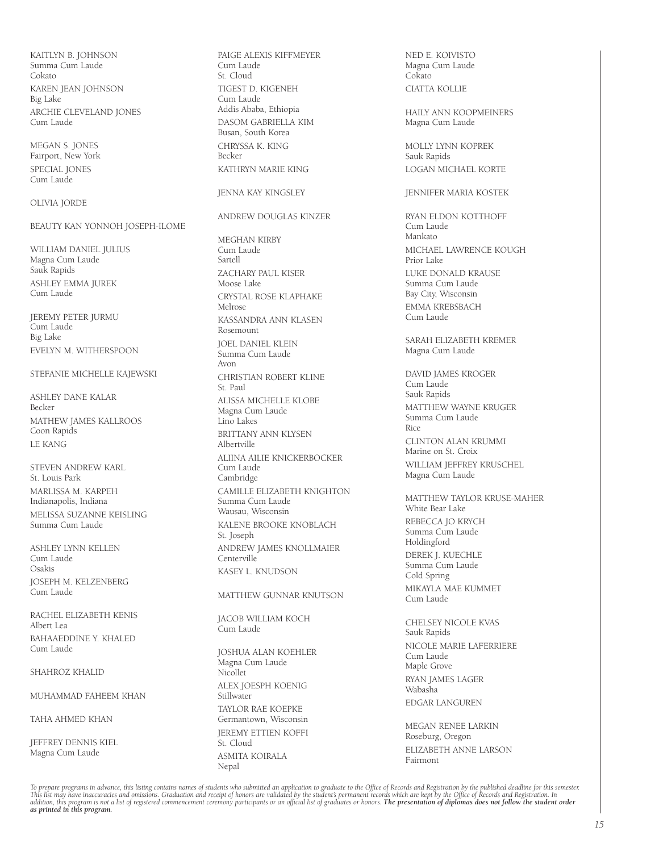KAITLYN B. JOHNSON Summa Cum Laude Cokato KAREN JEAN JOHNSON Big Lake ARCHIE CLEVELAND JONES Cum Laude

MEGAN S. JONES Fairport, New York SPECIAL JONES Cum Laude

#### OLIVIA JORDE

### BEAUTY KAN YONNOH JOSEPH-ILOME

WILLIAM DANIEL JULIUS Magna Cum Laude Sauk Rapids ASHLEY EMMA JUREK Cum Laude

JEREMY PETER JURMU Cum Laude Big Lake EVELYN M. WITHERSPOON

#### STEFANIE MICHELLE KAJEWSKI

ASHLEY DANE KALAR Becker MATHEW JAMES KALLROOS Coon Rapids LE KANG

STEVEN ANDREW KARL St. Louis Park MARLISSA M. KARPEH Indianapolis, Indiana MELISSA SUZANNE KEISLING Summa Cum Laude

ASHLEY LYNN KELLEN Cum Laude Osakis JOSEPH M. KELZENBERG .<br>Cum Laude

RACHEL ELIZABETH KENIS Albert Lea BAHAAEDDINE Y. KHALED Cum Laude

#### SHAHROZ KHALID

MUHAMMAD FAHEEM KHAN

TAHA AHMED KHAN

JEFFREY DENNIS KIEL Magna Cum Laude

PAIGE ALEXIS KIFFMEYER Cum Laude St. Cloud TIGEST D. KIGENEH Cum Laude Addis Ababa, Ethiopia DASOM GABRIELLA KIM Busan, South Korea CHRYSSA K. KING Becker KATHRYN MARIE KING

#### JENNA KAY KINGSLEY

ANDREW DOUGLAS KINZER

MEGHAN KIRBY Cum Laude Sartell ZACHARY PAUL KISER Moose Lake CRYSTAL ROSE KLAPHAKE Melrose KASSANDRA ANN KLASEN Rosemount JOEL DANIEL KLEIN Summa Cum Laude Avon CHRISTIAN ROBERT KLINE St. Paul ALISSA MICHELLE KLOBE Magna Cum Laude Lino Lakes BRITTANY ANN KLYSEN Albertville ALIINA AILIE KNICKERBOCKER Cum Laude Cambridge CAMILLE ELIZABETH KNIGHTON Summa Cum Laude Wausau, Wisconsin KALENE BROOKE KNOBLACH St. Joseph ANDREW JAMES KNOLLMAIER **Centerville** KASEY L. KNUDSON

MATTHEW GUNNAR KNUTSON

JACOB WILLIAM KOCH Cum Laude

JOSHUA ALAN KOEHLER Magna Cum Laude Nicollet ALEX JOESPH KOENIG Stillwater TAYLOR RAE KOEPKE Germantown, Wisconsin JEREMY ETTIEN KOFFI St. Cloud ASMITA KOIRALA Nepal

NED E. KOIVISTO Magna Cum Laude Cokato CIATTA KOLLIE

HAILY ANN KOOPMEINERS Magna Cum Laude

MOLLY LYNN KOPREK Sauk Rapids LOGAN MICHAEL KORTE

#### JENNIFER MARIA KOSTEK

RYAN ELDON KOTTHOFF Cum Laude Mankato MICHAEL LAWRENCE KOUGH Prior Lake LUKE DONALD KRAUSE Summa Cum Laude Bay City, Wisconsin EMMA KREBSBACH Cum Laude

SARAH ELIZABETH KREMER Magna Cum Laude

DAVID JAMES KROGER Cum Laude Sauk Rapids MATTHEW WAYNE KRUGER Summa Cum Laude Rice CLINTON ALAN KRUMMI Marine on St. Croix WILLIAM JEFFREY KRUSCHEL Magna Cum Laude

MATTHEW TAYLOR KRUSE-MAHER White Bear Lake REBECCA JO KRYCH Summa Cum Laude Holdingford DEREK J. KUECHLE Summa Cum Laude Cold Spring MIKAYLA MAE KUMMET Cum Laude CHELSEY NICOLE KVAS

Sauk Rapids NICOLE MARIE LAFERRIERE Cum Laude Maple Grove RYAN JAMES LAGER Wabasha EDGAR LANGUREN

MEGAN RENEE LARKIN Roseburg, Oregon ELIZABETH ANNE LARSON Fairmont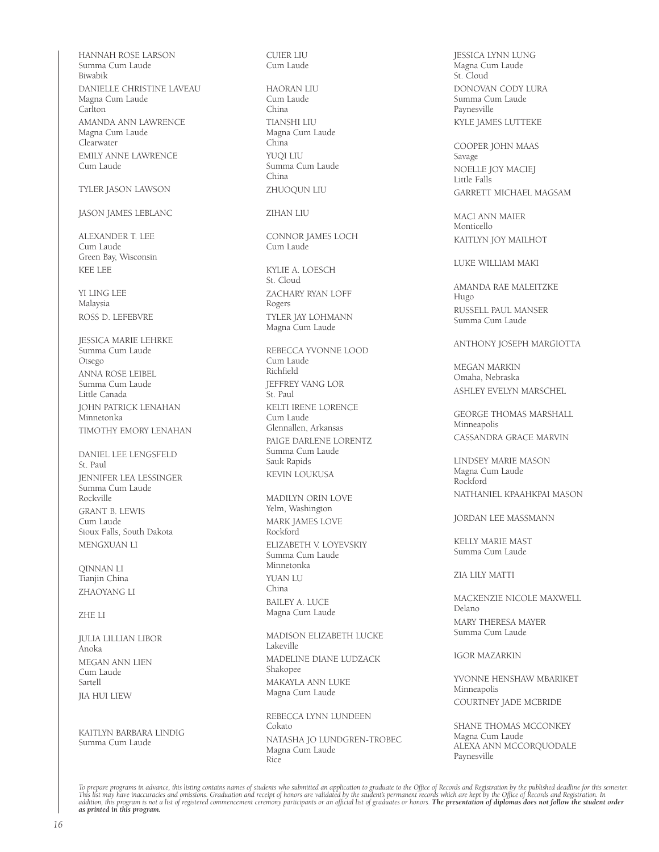HANNAH ROSE LARSON Summa Cum Laude Biwabik DANIELLE CHRISTINE LAVEAU Magna Cum Laude Carlton AMANDA ANN LAWRENCE Magna Cum Laude Clearwater EMILY ANNE LAWRENCE Cum Laude

#### TYLER JASON LAWSON

#### JASON JAMES LEBLANC

ALEXANDER T. LEE Cum Laude Green Bay, Wisconsin KEE LEE

YI LING LEE Malaysia ROSS D. LEFEBVRE

JESSICA MARIE LEHRKE Summa Cum Laude Otsego ANNA ROSE LEIBEL Summa Cum Laude Little Canada JOHN PATRICK LENAHAN Minnetonka TIMOTHY EMORY LENAHAN

DANIEL LEE LENGSFELD St. Paul JENNIFER LEA LESSINGER Summa Cum Laude Rockville GRANT B. LEWIS Cum Laude Sioux Falls, South Dakota MENGXUAN LI

QINNAN LI Tianjin China ZHAOYANG LI

#### ZHE LI

JULIA LILLIAN LIBOR Anoka MEGAN ANN LIEN Cum Laude Sartell JIA HUI LIEW

KAITLYN BARBARA LINDIG Summa Cum Laude

CUIER LIU Cum Laude

HAORAN LIU Cum Laude China TIANSHI LIU Magna Cum Laude China YUQI LIU Summa Cum Laude China ZHUOQUN LIU

ZIHAN LIU

CONNOR JAMES LOCH Cum Laude

KYLIE A. LOESCH St. Cloud ZACHARY RYAN LOFF Rogers TYLER JAY LOHMANN Magna Cum Laude

REBECCA YVONNE LOOD Cum Laude Richfield JEFFREY VANG LOR St. Paul KELTI IRENE LORENCE Cum Laude Glennallen, Arkansas PAIGE DARLENE LORENTZ Summa Cum Laude Sauk Rapids KEVIN LOUKUSA

MADILYN ORIN LOVE Yelm, Washington MARK JAMES LOVE Rockford ELIZABETH V. LOYEVSKIY Summa Cum Laude Minnetonka YUAN LU China BAILEY A. LUCE Magna Cum Laude

MADISON ELIZABETH LUCKE Lakeville MADELINE DIANE LUDZACK Shakopee MAKAYLA ANN LUKE Magna Cum Laude

REBECCA LYNN LUNDEEN Cokato NATASHA JO LUNDGREN-TROBEC Magna Cum Laude Rice

JESSICA LYNN LUNG Magna Cum Laude St. Cloud DONOVAN CODY LURA Summa Cum Laude Paynesville KYLE JAMES LUTTEKE

COOPER JOHN MAAS Savage NOELLE JOY MACIEJ Little Falls GARRETT MICHAEL MAGSAM

MACI ANN MAIER Monticello KAITLYN JOY MAILHOT

LUKE WILLIAM MAKI

AMANDA RAE MALEITZKE Hugo RUSSELL PAUL MANSER Summa Cum Laude

#### ANTHONY JOSEPH MARGIOTTA

MEGAN MARKIN Omaha, Nebraska ASHLEY EVELYN MARSCHEL

GEORGE THOMAS MARSHALL Minneapolis CASSANDRA GRACE MARVIN

LINDSEY MARIE MASON Magna Cum Laude Rockford NATHANIEL KPAAHKPAI MASON

JORDAN LEE MASSMANN

KELLY MARIE MAST Summa Cum Laude

#### ZIA LILY MATTI

MACKENZIE NICOLE MAXWELL Delano MARY THERESA MAYER Summa Cum Laude

IGOR MAZARKIN

YVONNE HENSHAW MBARIKET Minneapolis COURTNEY JADE MCBRIDE

SHANE THOMAS MCCONKEY Magna Cum Laude ALEXA ANN MCCORQUODALE Paynesville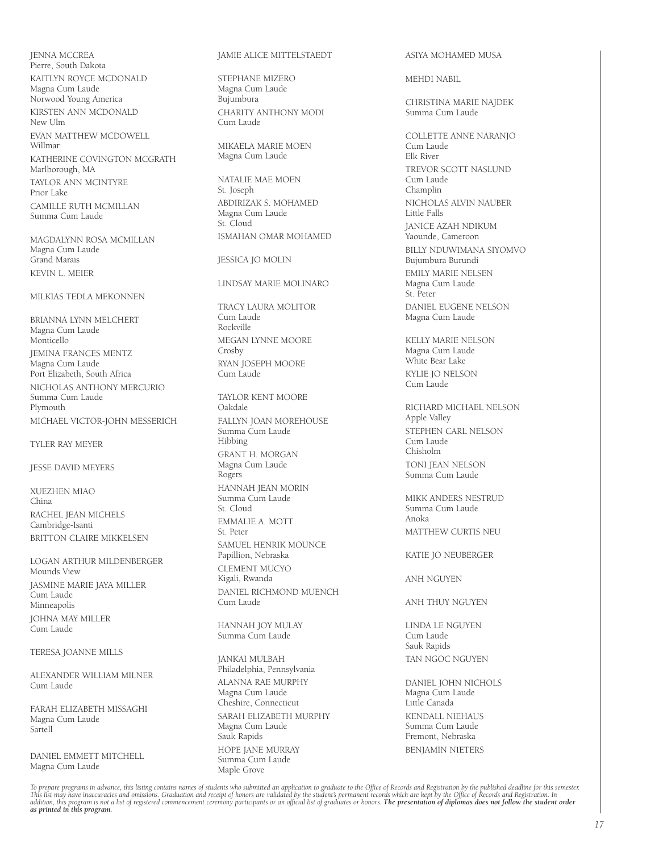JENNA MCCREA Pierre, South Dakota KAITLYN ROYCE MCDONALD Magna Cum Laude Norwood Young America KIRSTEN ANN MCDONALD New Ulm EVAN MATTHEW MCDOWELL Willmar KATHERINE COVINGTON MCGRATH Marlborough, MA TAYLOR ANN MCINTYRE Prior Lake CAMILLE RUTH MCMILLAN Summa Cum Laude

MAGDALYNN ROSA MCMILLAN Magna Cum Laude Grand Marais KEVIN L. MEIER

MILKIAS TEDLA MEKONNEN

BRIANNA LYNN MELCHERT Magna Cum Laude Monticello JEMINA FRANCES MENTZ Magna Cum Laude Port Elizabeth, South Africa NICHOLAS ANTHONY MERCURIO Summa Cum Laude Plymouth MICHAEL VICTOR-JOHN MESSERICH

TYLER RAY MEYER

JESSE DAVID MEYERS

XUEZHEN MIAO China RACHEL JEAN MICHELS Cambridge-Isanti BRITTON CLAIRE MIKKELSEN

LOGAN ARTHUR MILDENBERGER Mounds View JASMINE MARIE JAYA MILLER .<br>Cum Laude Minneapolis JOHNA MAY MILLER Cum Laude

TERESA JOANNE MILLS

ALEXANDER WILLIAM MILNER Cum Laude

FARAH ELIZABETH MISSAGHI Magna Cum Laude Sartell

DANIEL EMMETT MITCHELL Magna Cum Laude

#### JAMIE ALICE MITTELSTAEDT

STEPHANE MIZERO Magna Cum Laude Bujumbura CHARITY ANTHONY MODI Cum Laude

MIKAELA MARIE MOEN Magna Cum Laude

NATALIE MAE MOEN St. Joseph ABDIRIZAK S. MOHAMED Magna Cum Laude St. Cloud ISMAHAN OMAR MOHAMED

JESSICA JO MOLIN

LINDSAY MARIE MOLINARO

TRACY LAURA MOLITOR Cum Laude Rockville MEGAN LYNNE MOORE Crosby RYAN JOSEPH MOORE Cum Laude

TAYLOR KENT MOORE Oakdale FALLYN JOAN MOREHOUSE Summa Cum Laude Hibbing GRANT H. MORGAN Magna Cum Laude Rogers HANNAH JEAN MORIN Summa Cum Laude St. Cloud EMMALIE A. MOTT St. Peter SAMUEL HENRIK MOUNCE Papillion, Nebraska CLEMENT MUCYO Kigali, Rwanda DANIEL RICHMOND MUENCH Cum Laude

HANNAH JOY MULAY Summa Cum Laude

JANKAI MULBAH Philadelphia, Pennsylvania

ALANNA RAE MURPHY Magna Cum Laude Cheshire, Connecticut SARAH ELIZABETH MURPHY Magna Cum Laude Sauk Rapids HOPE JANE MURRAY Summa Cum Laude Maple Grove

ASIYA MOHAMED MUSA

MEHDI NABIL

CHRISTINA MARIE NAJDEK Summa Cum Laude

COLLETTE ANNE NARANJO Cum Laude Elk River TREVOR SCOTT NASLUND Cum Laude Champlin NICHOLAS ALVIN NAUBER Little Falls JANICE AZAH NDIKUM Yaounde, Cameroon BILLY NDUWIMANA SIYOMVO Bujumbura Burundi EMILY MARIE NELSEN Magna Cum Laude St. Peter DANIEL EUGENE NELSON Magna Cum Laude

KELLY MARIE NELSON Magna Cum Laude White Bear Lake KYLIE JO NELSON Cum Laude

RICHARD MICHAEL NELSON Apple Valley STEPHEN CARL NELSON Cum Laude Chisholm TONI JEAN NELSON Summa Cum Laude

MIKK ANDERS NESTRUD Summa Cum Laude Anoka MATTHEW CURTIS NEU

KATIE JO NEUBERGER

ANH NGUYEN

ANH THUY NGUYEN

LINDA LE NGUYEN Cum Laude Sauk Rapids TAN NGOC NGUYEN

DANIEL JOHN NICHOLS Magna Cum Laude Little Canada KENDALL NIEHAUS Summa Cum Laude Fremont, Nebraska BENJAMIN NIETERS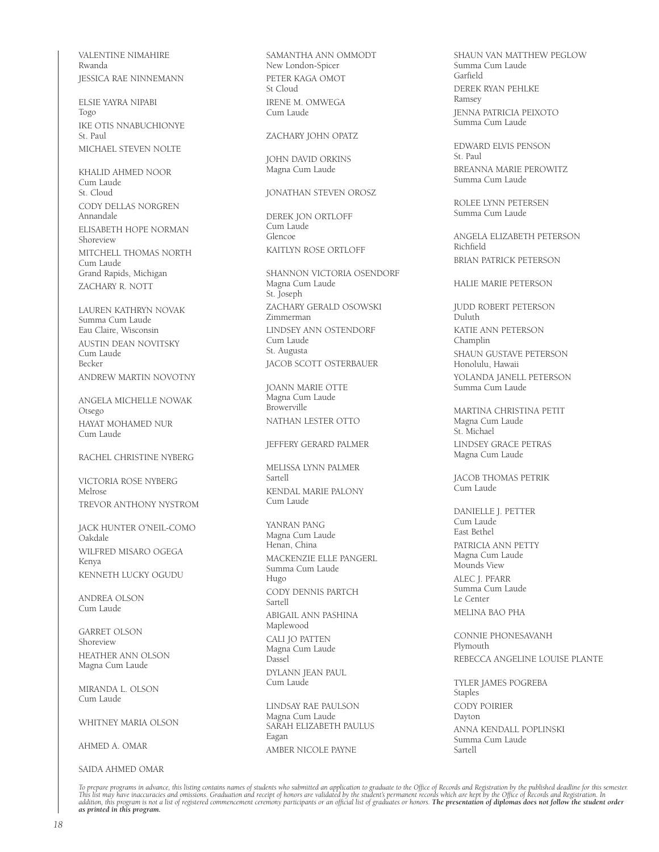VALENTINE NIMAHIRE Rwanda JESSICA RAE NINNEMANN

ELSIE YAYRA NIPABI Togo IKE OTIS NNABUCHIONYE St. Paul MICHAEL STEVEN NOLTE

KHALID AHMED NOOR Cum Laude St. Cloud CODY DELLAS NORGREN Annandale ELISABETH HOPE NORMAN Shoreview MITCHELL THOMAS NORTH Cum Laude Grand Rapids, Michigan ZACHARY R. NOTT

LAUREN KATHRYN NOVAK Summa Cum Laude Eau Claire, Wisconsin AUSTIN DEAN NOVITSKY Cum Laude Becker ANDREW MARTIN NOVOTNY

ANGELA MICHELLE NOWAK Otsego HAYAT MOHAMED NUR Cum Laude

RACHEL CHRISTINE NYBERG

VICTORIA ROSE NYBERG Melrose TREVOR ANTHONY NYSTROM

JACK HUNTER O'NEIL-COMO Oakdale WILFRED MISARO OGEGA Kenya KENNETH LUCKY OGUDU

ANDREA OLSON Cum Laude

GARRET OLSON Shoreview HEATHER ANN OLSON Magna Cum Laude

MIRANDA L. OLSON Cum Laude

WHITNEY MARIA OLSON

AHMED A. OMAR

SAIDA AHMED OMAR

SAMANTHA ANN OMMODT New London-Spicer PETER KAGA OMOT St Cloud IRENE M. OMWEGA Cum Laude

ZACHARY JOHN OPATZ

JOHN DAVID ORKINS Magna Cum Laude

JONATHAN STEVEN OROSZ

DEREK JON ORTLOFF Cum Laude Glencoe KAITLYN ROSE ORTLOFF

SHANNON VICTORIA OSENDORF Magna Cum Laude St. Joseph ZACHARY GERALD OSOWSKI Zimmerman LINDSEY ANN OSTENDORF Cum Laude St. Augusta JACOB SCOTT OSTERBAUER

JOANN MARIE OTTE Magna Cum Laude Browerville NATHAN LESTER OTTO

JEFFERY GERARD PALMER

MELISSA LYNN PALMER Sartell KENDAL MARIE PALONY Cum Laude

YANRAN PANG Magna Cum Laude Henan, China MACKENZIE ELLE PANGERL Summa Cum Laude Hugo CODY DENNIS PARTCH Sartell ABIGAIL ANN PASHINA Maplewood CALI JO PATTEN Magna Cum Laude Dassel DYLANN JEAN PAUL Cum Laude

LINDSAY RAE PAULSON Magna Cum Laude SARAH ELIZABETH PAULUS Eagan AMBER NICOLE PAYNE

SHAUN VAN MATTHEW PEGLOW Summa Cum Laude Garfield DEREK RYAN PEHLKE Ramsey JENNA PATRICIA PEIXOTO Summa Cum Laude

EDWARD ELVIS PENSON St. Paul BREANNA MARIE PEROWITZ Summa Cum Laude

ROLEE LYNN PETERSEN Summa Cum Laude

ANGELA ELIZABETH PETERSON Richfield BRIAN PATRICK PETERSON

HALIE MARIE PETERSON

JUDD ROBERT PETERSON Duluth KATIE ANN PETERSON Champlin SHAUN GUSTAVE PETERSON Honolulu, Hawaii YOLANDA JANELL PETERSON Summa Cum Laude

MARTINA CHRISTINA PETIT Magna Cum Laude St. Michael LINDSEY GRACE PETRAS Magna Cum Laude

JACOB THOMAS PETRIK Cum Laude

DANIELLE J. PETTER Cum Laude East Bethel PATRICIA ANN PETTY Magna Cum Laude Mounds View ALEC J. PFARR Summa Cum Laude Le Center MELINA BAO PHA

CONNIE PHONESAVANH Plymouth REBECCA ANGELINE LOUISE PLANTE

TYLER JAMES POGREBA **Staples** CODY POIRIER Dayton ANNA KENDALL POPLINSKI Summa Cum Laude Sartell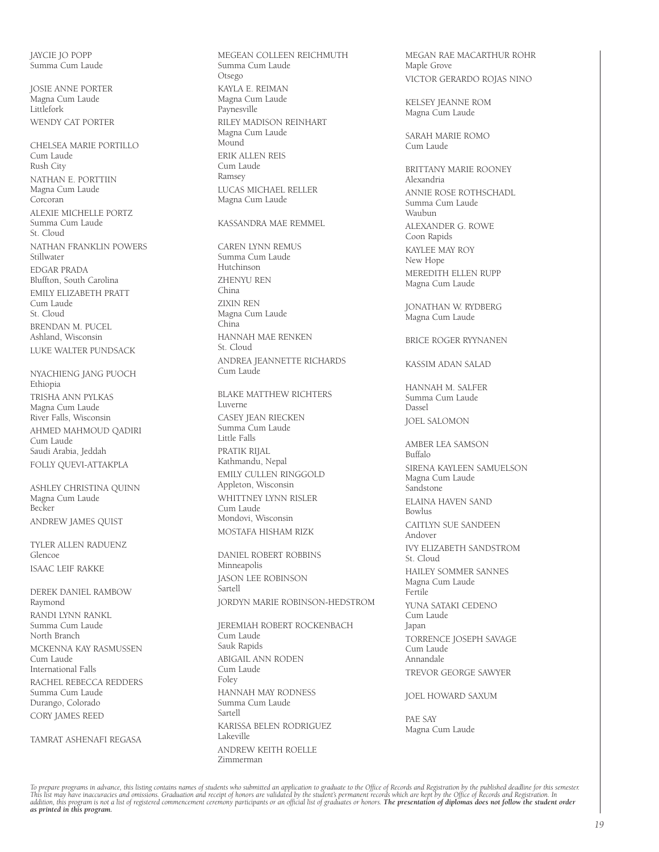JAYCIE JO POPP Summa Cum Laude

JOSIE ANNE PORTER Magna Cum Laude Littlefork WENDY CAT PORTER

CHELSEA MARIE PORTILLO Cum Laude Rush City NATHAN E. PORTTIIN Magna Cum Laude Corcoran ALEXIE MICHELLE PORTZ Summa Cum Laude St. Cloud NATHAN FRANKLIN POWERS Stillwater EDGAR PRADA Bluffton, South Carolina EMILY ELIZABETH PRATT Cum Laude St. Cloud BRENDAN M. PUCEL Ashland, Wisconsin LUKE WALTER PUNDSACK

NYACHIENG JANG PUOCH Ethiopia TRISHA ANN PYLKAS Magna Cum Laude River Falls, Wisconsin AHMED MAHMOUD QADIRI Cum Laude Saudi Arabia, Jeddah FOLLY QUEVI-ATTAKPLA

ASHLEY CHRISTINA QUINN Magna Cum Laude Becker ANDREW JAMES QUIST

TYLER ALLEN RADUENZ Glencoe ISAAC LEIF RAKKE

DEREK DANIEL RAMBOW Raymond RANDI LYNN RANKL Summa Cum Laude North Branch

MCKENNA KAY RASMUSSEN Cum Laude International Falls

RACHEL REBECCA REDDERS Summa Cum Laude Durango, Colorado CORY JAMES REED

TAMRAT ASHENAFI REGASA

MEGEAN COLLEEN REICHMUTH Summa Cum Laude Otsego KAYLA E. REIMAN Magna Cum Laude Paynesville RILEY MADISON REINHART Magna Cum Laude Mound ERIK ALLEN REIS Cum Laude Ramsey LUCAS MICHAEL RELLER Magna Cum Laude

KASSANDRA MAE REMMEL

CAREN LYNN REMUS Summa Cum Laude Hutchinson ZHENYU REN China ZIXIN REN Magna Cum Laude China HANNAH MAE RENKEN St. Cloud ANDREA JEANNETTE RICHARDS Cum Laude

BLAKE MATTHEW RICHTERS Luverne CASEY JEAN RIECKEN Summa Cum Laude Little Falls PRATIK RIJAL Kathmandu, Nepal EMILY CULLEN RINGGOLD Appleton, Wisconsin WHITTNEY LYNN RISLER Cum Laude Mondovi, Wisconsin MOSTAFA HISHAM RIZK

DANIEL ROBERT ROBBINS Minneapolis JASON LEE ROBINSON Sartell JORDYN MARIE ROBINSON-HEDSTROM

JEREMIAH ROBERT ROCKENBACH Cum Laude Sauk Rapids ABIGAIL ANN RODEN Cum Laude Foley HANNAH MAY RODNESS Summa Cum Laude Sartell KARISSA BELEN RODRIGUEZ Lakeville ANDREW KEITH ROELLE Zimmerman

MEGAN RAE MACARTHUR ROHR Maple Grove VICTOR GERARDO ROJAS NINO

KELSEY JEANNE ROM Magna Cum Laude

SARAH MARIE ROMO Cum Laude

BRITTANY MARIE ROONEY Alexandria ANNIE ROSE ROTHSCHADL Summa Cum Laude Waubun ALEXANDER G. ROWE Coon Rapids KAYLEE MAY ROY New Hope MEREDITH ELLEN RUPP Magna Cum Laude

JONATHAN W. RYDBERG Magna Cum Laude

BRICE ROGER RYYNANEN

KASSIM ADAN SALAD

HANNAH M. SALFER Summa Cum Laude Dassel JOEL SALOMON

AMBER LEA SAMSON Buffalo SIRENA KAYLEEN SAMUELSON Magna Cum Laude Sandstone ELAINA HAVEN SAND Bowlus CAITLYN SUE SANDEEN Andover IVY ELIZABETH SANDSTROM St. Cloud HAILEY SOMMER SANNES Magna Cum Laude Fertile YUNA SATAKI CEDENO Cum Laude Japan TORRENCE JOSEPH SAVAGE Cum Laude Annandale TREVOR GEORGE SAWYER

JOEL HOWARD SAXUM

PAE SAY Magna Cum Laude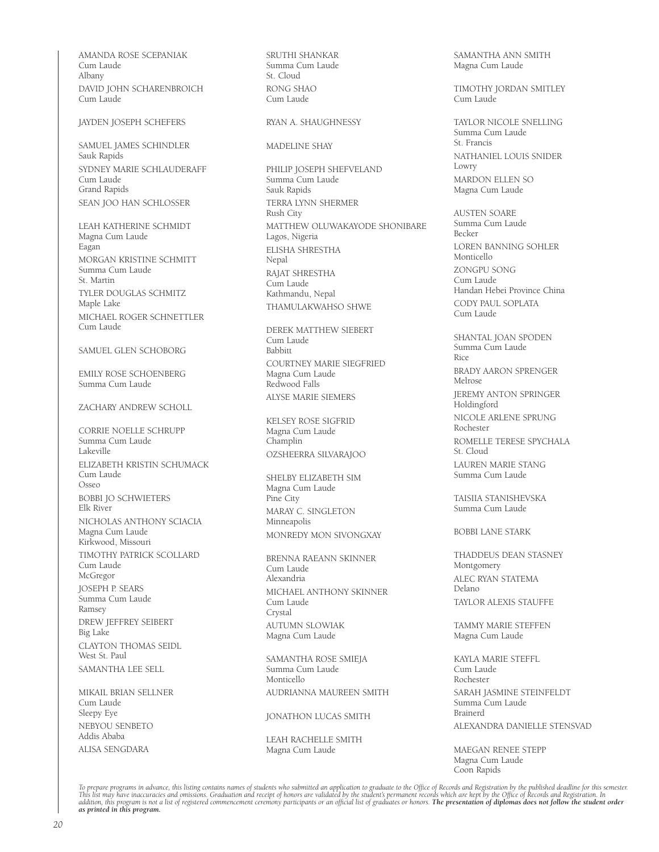AMANDA ROSE SCEPANIAK Cum Laude Albany DAVID JOHN SCHARENBROICH Cum Laude

#### JAYDEN JOSEPH SCHEFERS

SAMUEL JAMES SCHINDLER Sauk Rapids SYDNEY MARIE SCHLAUDERAFF Cum Laude Grand Rapids SEAN JOO HAN SCHLOSSER

LEAH KATHERINE SCHMIDT Magna Cum Laude Eagan MORGAN KRISTINE SCHMITT Summa Cum Laude St. Martin TYLER DOUGLAS SCHMITZ Maple Lake MICHAEL ROGER SCHNETTLER Cum Laude

#### SAMUEL GLEN SCHOBORG

EMILY ROSE SCHOENBERG Summa Cum Laude

#### ZACHARY ANDREW SCHOLL

CORRIE NOELLE SCHRUPP Summa Cum Laude Lakeville ELIZABETH KRISTIN SCHUMACK Cum Laude Osseo BOBBI JO SCHWIETERS Elk River NICHOLAS ANTHONY SCIACIA Magna Cum Laude Kirkwood, Missouri TIMOTHY PATRICK SCOLLARD Cum Laude McGregor JOSEPH P. SEARS Summa Cum Laude Ramsey DREW JEFFREY SEIBERT Big Lake CLAYTON THOMAS SEIDL West St. Paul SAMANTHA LEE SELL

MIKAIL BRIAN SELLNER Cum Laude Sleepy Eye NEBYOU SENBETO Addis Ababa ALISA SENGDARA

SRUTHI SHANKAR Summa Cum Laude St. Cloud RONG SHAO Cum Laude

#### RYAN A. SHAUGHNESSY

#### MADELINE SHAY

PHILIP JOSEPH SHEFVELAND Summa Cum Laude Sauk Rapids TERRA LYNN SHERMER Rush City MATTHEW OLUWAKAYODE SHONIBARE Lagos, Nigeria ELISHA SHRESTHA Nepal RAJAT SHRESTHA Cum Laude Kathmandu, Nepal THAMULAKWAHSO SHWE

DEREK MATTHEW SIEBERT Cum Laude Babbitt COURTNEY MARIE SIEGFRIED Magna Cum Laude Redwood Falls ALYSE MARIE SIEMERS

KELSEY ROSE SIGFRID Magna Cum Laude Champlin OZSHEERRA SILVARAJOO

SHELBY ELIZABETH SIM Magna Cum Laude Pine City MARAY C. SINGLETON Minneapolis MONREDY MON SIVONGXAY

BRENNA RAEANN SKINNER Cum Laude Alexandria MICHAEL ANTHONY SKINNER Cum Laude Crystal AUTUMN SLOWIAK Magna Cum Laude

SAMANTHA ROSE SMIEJA Summa Cum Laude Monticello AUDRIANNA MAUREEN SMITH

#### JONATHON LUCAS SMITH

LEAH RACHELLE SMITH Magna Cum Laude

SAMANTHA ANN SMITH Magna Cum Laude

TIMOTHY JORDAN SMITLEY Cum Laude

TAYLOR NICOLE SNELLING Summa Cum Laude St. Francis NATHANIEL LOUIS SNIDER Lowry MARDON ELLEN SO Magna Cum Laude

AUSTEN SOARE Summa Cum Laude Becker LOREN BANNING SOHLER Monticello ZONGPU SONG Cum Laude Handan Hebei Province China CODY PAUL SOPLATA Cum Laude

SHANTAL JOAN SPODEN Summa Cum Laude Rice BRADY AARON SPRENGER Melrose JEREMY ANTON SPRINGER Holdingford NICOLE ARLENE SPRUNG Rochester ROMELLE TERESE SPYCHALA St. Cloud LAUREN MARIE STANG Summa Cum Laude

TAISIIA STANISHEVSKA Summa Cum Laude

BOBBI LANE STARK

THADDEUS DEAN STASNEY Montgomery ALEC RYAN STATEMA Delano TAYLOR ALEXIS STAUFFE

TAMMY MARIE STEFFEN Magna Cum Laude

KAYLA MARIE STEFFL Cum Laude Rochester SARAH JASMINE STEINFELDT Summa Cum Laude Brainerd ALEXANDRA DANIELLE STENSVAD

MAEGAN RENEE STEPP Magna Cum Laude Coon Rapids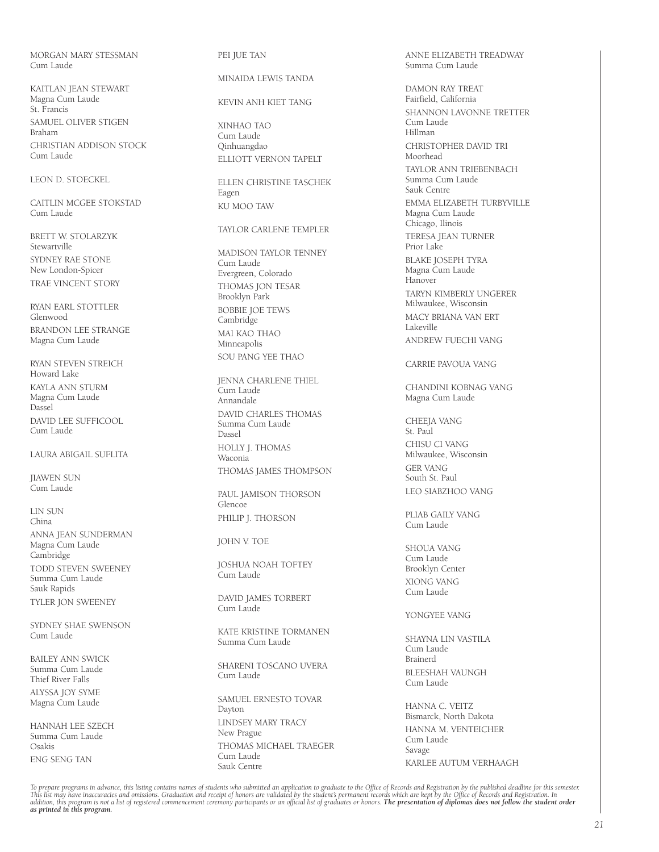MORGAN MARY STESSMAN Cum Laude

KAITLAN JEAN STEWART Magna Cum Laude St. Francis SAMUEL OLIVER STIGEN Braham CHRISTIAN ADDISON STOCK Cum Laude

#### LEON D. STOECKEL

CAITLIN MCGEE STOKSTAD Cum Laude

BRETT W. STOLARZYK Stewartville SYDNEY RAE STONE New London-Spicer TRAE VINCENT STORY

RYAN EARL STOTTLER Glenwood BRANDON LEE STRANGE Magna Cum Laude

RYAN STEVEN STREICH Howard Lake KAYLA ANN STURM Magna Cum Laude Dassel DAVID LEE SUFFICOOL Cum Laude

LAURA ABIGAIL SUFLITA

JIAWEN SUN .<br>Cum Laude

LIN SUN China ANNA JEAN SUNDERMAN Magna Cum Laude Cambridge TODD STEVEN SWEENEY Summa Cum Laude Sauk Rapids TYLER JON SWEENEY

SYDNEY SHAE SWENSON Cum Laude

BAILEY ANN SWICK Summa Cum Laude Thief River Falls ALYSSA JOY SYME Magna Cum Laude

HANNAH LEE SZECH Summa Cum Laude Osakis ENG SENG TAN

#### PEI JUE TAN

MINAIDA LEWIS TANDA

KEVIN ANH KIET TANG

XINHAO TAO Cum Laude Qinhuangdao ELLIOTT VERNON TAPELT

ELLEN CHRISTINE TASCHEK Eagen KU MOO TAW

TAYLOR CARLENE TEMPLER

MADISON TAYLOR TENNEY Cum Laude Evergreen, Colorado THOMAS JON TESAR Brooklyn Park BOBBIE JOE TEWS Cambridge MAI KAO THAO Minneapolis SOU PANG YEE THAO

JENNA CHARLENE THIEL Cum Laude Annandale DAVID CHARLES THOMAS Summa Cum Laude Dassel HOLLY J. THOMAS Waconia THOMAS JAMES THOMPSON

PAUL JAMISON THORSON Glencoe PHILIP J. THORSON

JOHN V. TOE

JOSHUA NOAH TOFTEY Cum Laude

DAVID JAMES TORBERT Cum Laude

KATE KRISTINE TORMANEN Summa Cum Laude

SHARENI TOSCANO UVERA Cum Laude

SAMUEL ERNESTO TOVAR Dayton LINDSEY MARY TRACY New Prague THOMAS MICHAEL TRAEGER Cum Laude Sauk Centre

ANNE ELIZABETH TREADWAY Summa Cum Laude

DAMON RAY TREAT Fairfield, California SHANNON LAVONNE TRETTER Cum Laude Hillman CHRISTOPHER DAVID TRI Moorhead TAYLOR ANN TRIEBENBACH Summa Cum Laude Sauk Centre EMMA ELIZABETH TURBYVILLE Magna Cum Laude Chicago, Ilinois TERESA JEAN TURNER Prior Lake BLAKE JOSEPH TYRA Magna Cum Laude Hanover TARYN KIMBERLY UNGERER Milwaukee, Wisconsin MACY BRIANA VAN ERT Lakeville ANDREW FUECHI VANG

CARRIE PAVOUA VANG

CHANDINI KOBNAG VANG Magna Cum Laude

CHEEJA VANG St. Paul CHISU CI VANG Milwaukee, Wisconsin GER VANG South St. Paul LEO SIABZHOO VANG

PLIAB GAILY VANG Cum Laude

SHOUA VANG Cum Laude Brooklyn Center XIONG VANG Cum Laude

#### YONGYEE VANG

SHAYNA LIN VASTILA Cum Laude Brainerd BLEESHAH VAUNGH Cum Laude

HANNA C. VEITZ Bismarck, North Dakota HANNA M. VENTEICHER Cum Laude Savage KARLEE AUTUM VERHAAGH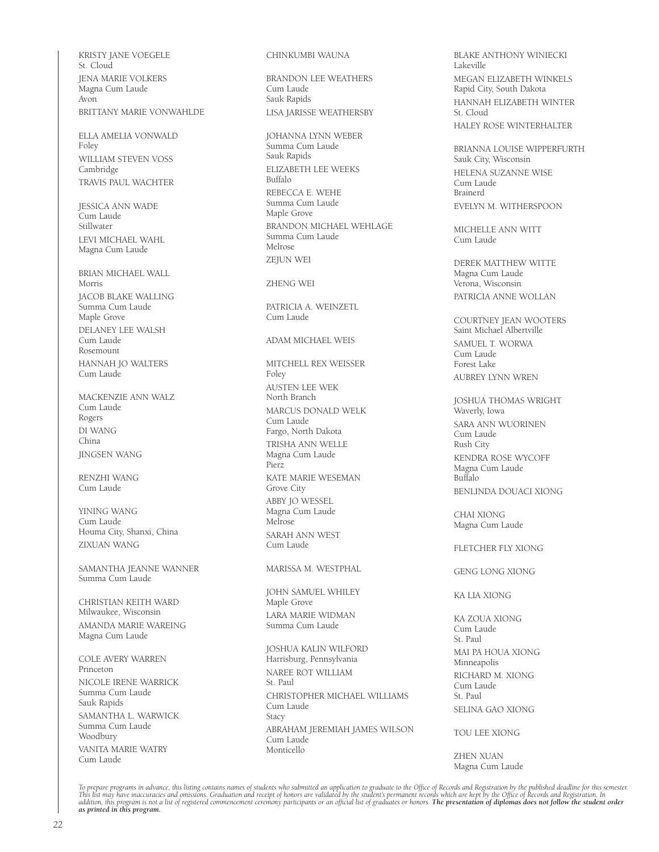KRISTY JANE VOEGELE St. Cloud JENA MARIE VOLKERS Magna Cum Laude Avon BRITTANY MARIE VONWAHLDE

ELLA AMELIA VONWALD Foley WILLIAM STEVEN VOSS Cambridge TRAVIS PAUL WACHTER

JESSICA ANN WADE Cum Laude Stillwater LEVI MICHAEL WAHL Magna Cum Laude

BRIAN MICHAEL WALL Morris JACOB BLAKE WALLING Summa Cum Laude Maple Grove DELANEY LEE WALSH Cum Laude Rosemount HANNAH JO WALTERS Cum Laude

MACKENZIE ANN WALZ Cum Laude Rogers DI WANG China JINGSEN WANG

RENZHI WANG Cum Laude

YINING WANG Cum Laude Houma City, Shanxi, China ZIXUAN WANG

SAMANTHA JEANNE WANNER Summa Cum Laude

CHRISTIAN KEITH WARD Milwaukee, Wisconsin AMANDA MARIE WAREING Magna Cum Laude

COLE AVERY WARREN Princeton NICOLE IRENE WARRICK Summa Cum Laude Sauk Rapids SAMANTHA L. WARWICK Summa Cum Laude **Woodbury** VANITA MARIE WATRY Cum Laude

CHINKUMBI WAUNA

BRANDON LEE WEATHERS Cum Laude Sauk Rapids LISA JARISSE WEATHERSBY

JOHANNA LYNN WEBER Summa Cum Laude Sauk Rapids ELIZABETH LEE WEEKS Buffalo REBECCA E. WEHE Summa Cum Laude Maple Grove BRANDON MICHAEL WEHLAGE Summa Cum Laude Melrose ZEIUN WEI

ZHENG WEI

PATRICIA A. WEINZETL Cum Laude

ADAM MICHAEL WEIS

MITCHELL REX WEISSER Foley AUSTEN LEE WEK North Branch MARCUS DONALD WELK Cum Laude Fargo, North Dakota TRISHA ANN WELLE Magna Cum Laude Pierz KATE MARIE WESEMAN Grove City ABBY JO WESSEL Magna Cum Laude Melrose SARAH ANN WEST Cum Laude

MARISSA M. WESTPHAL

JOHN SAMUEL WHILEY Maple Grove LARA MARIE WIDMAN Summa Cum Laude

JOSHUA KALIN WILFORD Harrisburg, Pennsylvania NAREE ROT WILLIAM St. Paul CHRISTOPHER MICHAEL WILLIAMS Cum Laude Stacy ABRAHAM JEREMIAH JAMES WILSON Cum Laude Monticello

BLAKE ANTHONY WINIECKI Lakeville MEGAN ELIZABETH WINKELS Rapid City, South Dakota HANNAH ELIZABETH WINTER St. Cloud HALEY ROSE WINTERHALTER

BRIANNA LOUISE WIPPERFURTH Sauk City, Wisconsin HELENA SUZANNE WISE Cum Laude Brainerd EVELYN M. WITHERSPOON

MICHELLE ANN WITT Cum Laude

DEREK MATTHEW WITTE Magna Cum Laude Verona, Wisconsin PATRICIA ANNE WOLLAN

COURTNEY JEAN WOOTERS Saint Michael Albertville SAMUEL T. WORWA Cum Laude Forest Lake AUBREY LYNN WREN

JOSHUA THOMAS WRIGHT Waverly, Iowa SARA ANN WUORINEN Cum Laude Rush City KENDRA ROSE WYCOFF Magna Cum Laude Buffalo BENLINDA DOUACI XIONG

CHAI XIONG Magna Cum Laude

FLETCHER FLY XIONG

GENG LONG XIONG

KA LIA XIONG

KA ZOUA XIONG Cum Laude St. Paul MAI PA HOUA XIONG Minneapolis RICHARD M. XIONG Cum Laude St. Paul SELINA GAO XIONG

TOU LEE XIONG

ZHEN XUAN Magna Cum Laude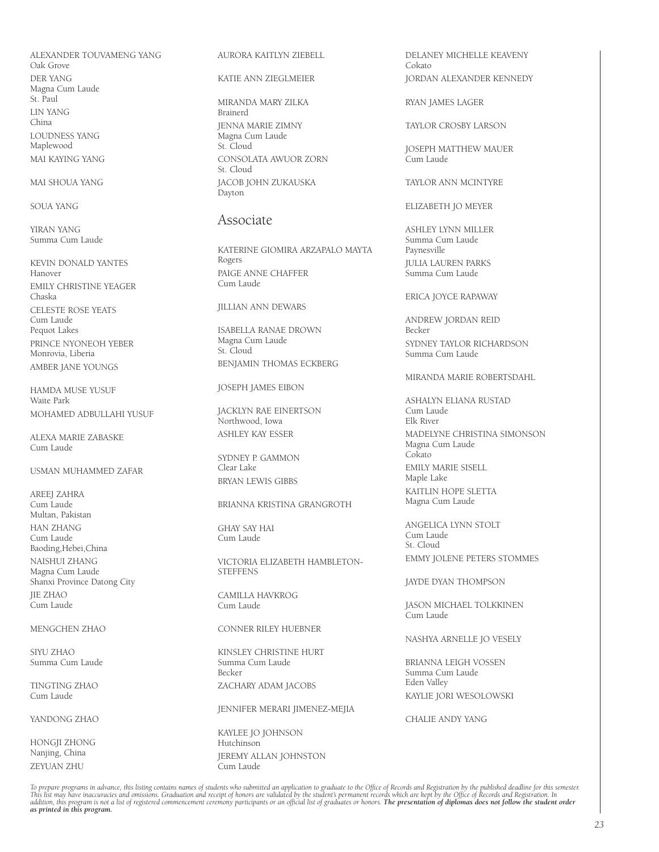ALEXANDER TOUVAMENG YANG Oak Grove DER YANG Magna Cum Laude St. Paul LIN YANG China LOUDNESS YANG Maplewood MAI KAYING YANG

MAI SHOUA YANG

SOUA YANG

YIRAN YANG Summa Cum Laude

KEVIN DONALD YANTES Hanover EMILY CHRISTINE YEAGER Chaska CELESTE ROSE YEATS Cum Laude Pequot Lakes PRINCE NYONEOH YEBER Monrovia, Liberia AMBER JANE YOUNGS

HAMDA MUSE YUSUF Waite Park MOHAMED ADBULLAHI YUSUF

ALEXA MARIE ZABASKE Cum Laude

USMAN MUHAMMED ZAFAR

AREEJ ZAHRA Cum Laude Multan, Pakistan HAN ZHANG Cum Laude Baoding,Hebei,China NAISHUI ZHANG Magna Cum Laude Shanxi Province Datong City JIE ZHAO Cum Laude

MENGCHEN ZHAO

SIYU ZHAO Summa Cum Laude

TINGTING ZHAO Cum Laude

YANDONG ZHAO

HONGJI ZHONG Nanjing, China ZEYUAN ZHU

AURORA KAITLYN ZIEBELL

KATIE ANN ZIEGLMEIER

MIRANDA MARY ZILKA Brainerd JENNA MARIE ZIMNY Magna Cum Laude St. Cloud CONSOLATA AWUOR ZORN St. Cloud JACOB JOHN ZUKAUSKA Dayton

# Associate

KATERINE GIOMIRA ARZAPALO MAYTA Rogers PAIGE ANNE CHAFFER Cum Laude

JILLIAN ANN DEWARS

ISABELLA RANAE DROWN Magna Cum Laude St. Cloud BENJAMIN THOMAS ECKBERG

JOSEPH JAMES EIBON

JACKLYN RAE EINERTSON Northwood, Iowa ASHLEY KAY ESSER

SYDNEY P. GAMMON Clear Lake BRYAN LEWIS GIBBS

BRIANNA KRISTINA GRANGROTH

GHAY SAY HAI Cum Laude

VICTORIA ELIZABETH HAMBLETON-**STEFFENS** 

CAMILLA HAVKROG Cum Laude

CONNER RILEY HUEBNER

KINSLEY CHRISTINE HURT Summa Cum Laude Becker ZACHARY ADAM JACOBS

JENNIFER MERARI JIMENEZ-MEJIA

KAYLEE JO JOHNSON Hutchinson JEREMY ALLAN JOHNSTON Cum Laude

DELANEY MICHELLE KEAVENY Cokato JORDAN ALEXANDER KENNEDY

RYAN JAMES LAGER

TAYLOR CROSBY LARSON

JOSEPH MATTHEW MAUER .<br>Cum Laude

TAYLOR ANN MCINTYRE

ELIZABETH JO MEYER

ASHLEY LYNN MILLER Summa Cum Laude Paynesville JULIA LAUREN PARKS .<br>Summa Cum Laude.

ERICA JOYCE RAPAWAY

ANDREW JORDAN REID Becker SYDNEY TAYLOR RICHARDSON Summa Cum Laude

MIRANDA MARIE ROBERTSDAHL

ASHALYN ELIANA RUSTAD Cum Laude Elk River MADELYNE CHRISTINA SIMONSON Magna Cum Laude Cokato

EMILY MARIE SISELL Maple Lake KAITLIN HOPE SLETTA Magna Cum Laude

ANGELICA LYNN STOLT Cum Laude St. Cloud EMMY JOLENE PETERS STOMMES

JAYDE DYAN THOMPSON

JASON MICHAEL TOLKKINEN Cum Laude

NASHYA ARNELLE JO VESELY

BRIANNA LEIGH VOSSEN Summa Cum Laude Eden Valley KAYLIE JORI WESOLOWSKI

CHALIE ANDY YANG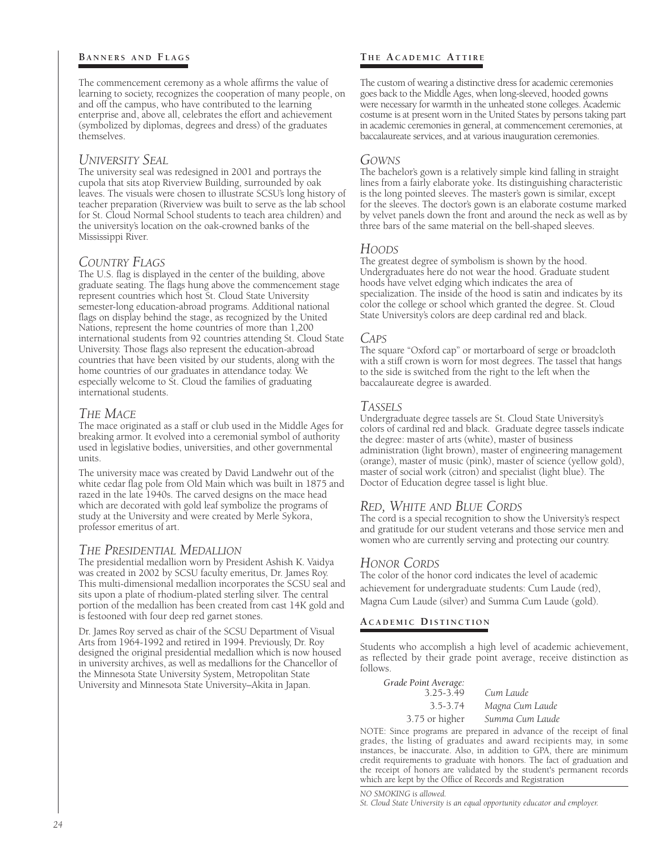### **BANNERS AND FLAGS**

The commencement ceremony as a whole affirms the value of learning to society, recognizes the cooperation of many people, on and off the campus, who have contributed to the learning enterprise and, above all, celebrates the effort and achievement (symbolized by diplomas, degrees and dress) of the graduates themselves.

# *University Seal*

The university seal was redesigned in 2001 and portrays the cupola that sits atop Riverview Building, surrounded by oak leaves. The visuals were chosen to illustrate SCSU's long history of teacher preparation (Riverview was built to serve as the lab school for St. Cloud Normal School students to teach area children) and the university's location on the oak-crowned banks of the Mississippi River.

# *Country Flags*

The U.S. flag is displayed in the center of the building, above graduate seating. The flags hung above the commencement stage represent countries which host St. Cloud State University semester-long education-abroad programs. Additional national flags on display behind the stage, as recognized by the United Nations, represent the home countries of more than 1,200 international students from 92 countries attending St. Cloud State University. Those flags also represent the education-abroad countries that have been visited by our students, along with the home countries of our graduates in attendance today. We especially welcome to St. Cloud the families of graduating international students.

# *The Mace*

The mace originated as a staff or club used in the Middle Ages for breaking armor. It evolved into a ceremonial symbol of authority used in legislative bodies, universities, and other governmental units.

The university mace was created by David Landwehr out of the white cedar flag pole from Old Main which was built in 1875 and razed in the late 1940s. The carved designs on the mace head which are decorated with gold leaf symbolize the programs of study at the University and were created by Merle Sykora, professor emeritus of art.

# *The Presidential Medallion*

The presidential medallion worn by President Ashish K. Vaidya was created in 2002 by SCSU faculty emeritus, Dr. James Roy. This multi-dimensional medallion incorporates the SCSU seal and sits upon a plate of rhodium-plated sterling silver. The central portion of the medallion has been created from cast 14K gold and is festooned with four deep red garnet stones.

Dr. James Roy served as chair of the SCSU Department of Visual Arts from 1964-1992 and retired in 1994. Previously, Dr. Roy designed the original presidential medallion which is now housed in university archives, as well as medallions for the Chancellor of the Minnesota State University System, Metropolitan State University and Minnesota State University–Akita in Japan.

# **T h e A c a d e m i c Att i r e**

The custom of wearing a distinctive dress for academic ceremonies goes back to the Middle Ages, when long-sleeved, hooded gowns were necessary for warmth in the unheated stone colleges. Academic costume is at present worn in the United States by persons taking part in academic ceremonies in general, at commencement ceremonies, at baccalaureate services, and at various inauguration ceremonies.

## *Gowns*

The bachelor's gown is a relatively simple kind falling in straight lines from a fairly elaborate yoke. Its distinguishing characteristic is the long pointed sleeves. The master's gown is similar, except for the sleeves. The doctor's gown is an elaborate costume marked by velvet panels down the front and around the neck as well as by three bars of the same material on the bell-shaped sleeves.

# *Hoods*

The greatest degree of symbolism is shown by the hood. Undergraduates here do not wear the hood. Graduate student hoods have velvet edging which indicates the area of specialization. The inside of the hood is satin and indicates by its color the college or school which granted the degree. St. Cloud State University's colors are deep cardinal red and black.

# *Caps*

The square "Oxford cap" or mortarboard of serge or broadcloth with a stiff crown is worn for most degrees. The tassel that hangs to the side is switched from the right to the left when the baccalaureate degree is awarded.

## *Tassels*

Undergraduate degree tassels are St. Cloud State University's colors of cardinal red and black. Graduate degree tassels indicate the degree: master of arts (white), master of business administration (light brown), master of engineering management (orange), master of music (pink), master of science (yellow gold), master of social work (citron) and specialist (light blue). The Doctor of Education degree tassel is light blue.

# *Red, White and Blue Cords*

The cord is a special recognition to show the University's respect and gratitude for our student veterans and those service men and women who are currently serving and protecting our country.

# *Honor Cords*

The color of the honor cord indicates the level of academic achievement for undergraduate students: Cum Laude (red), Magna Cum Laude (silver) and Summa Cum Laude (gold).

### **A c a d e m i c Di s t i n c t i o n**

Students who accomplish a high level of academic achievement, as reflected by their grade point average, receive distinction as follows.

| Grade Point Average: |                 |
|----------------------|-----------------|
| 3.25-3.49            | Cum Laude       |
| $3.5 - 3.74$         | Magna Cum Laude |
| 3.75 or higher       | Summa Cum Laude |

NOTE: Since programs are prepared in advance of the receipt of final grades, the listing of graduates and award recipients may, in some instances, be inaccurate. Also, in addition to GPA, there are minimum credit requirements to graduate with honors. The fact of graduation and the receipt of honors are validated by the student's permanent records which are kept by the Office of Records and Registration

*NO SMOKING is allowed.*

*St. Cloud State University is an equal opportunity educator and employer.*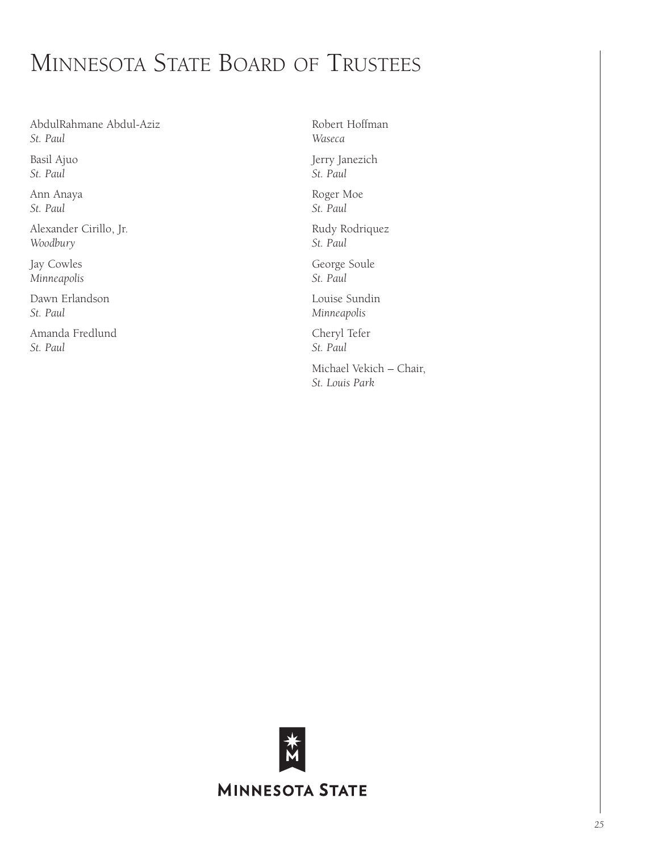# Minnesota State Board of Trustees

AbdulRahmane Abdul-Aziz *St. Paul* Basil Ajuo

*St. Paul*

Ann Anaya *St. Paul*

Alexander Cirillo, Jr. *Woodbury*

Jay Cowles *Minneapolis*

Dawn Erlandson *St. Paul*

Amanda Fredlund *St. Paul*

Robert Hoffman *Waseca* Jerry Janezich *St. Paul* Roger Moe *St. Paul* Rudy Rodriquez *St. Paul* George Soule *St. Paul*

Louise Sundin *Minneapolis*

Cheryl Tefer *St. Paul* Michael Vekich – Chair, *St. Louis Park*

**MINNESOTA STATE**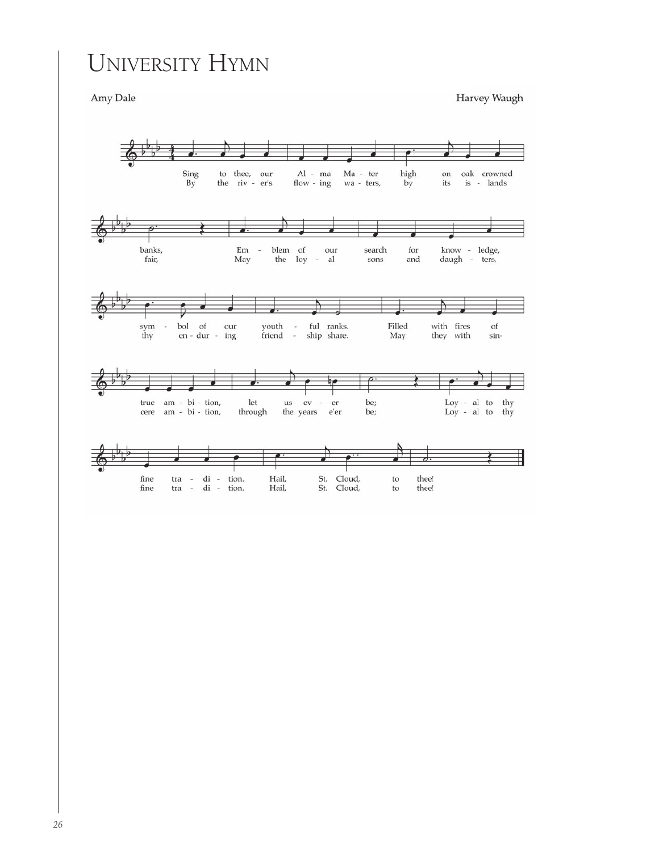# University Hymn